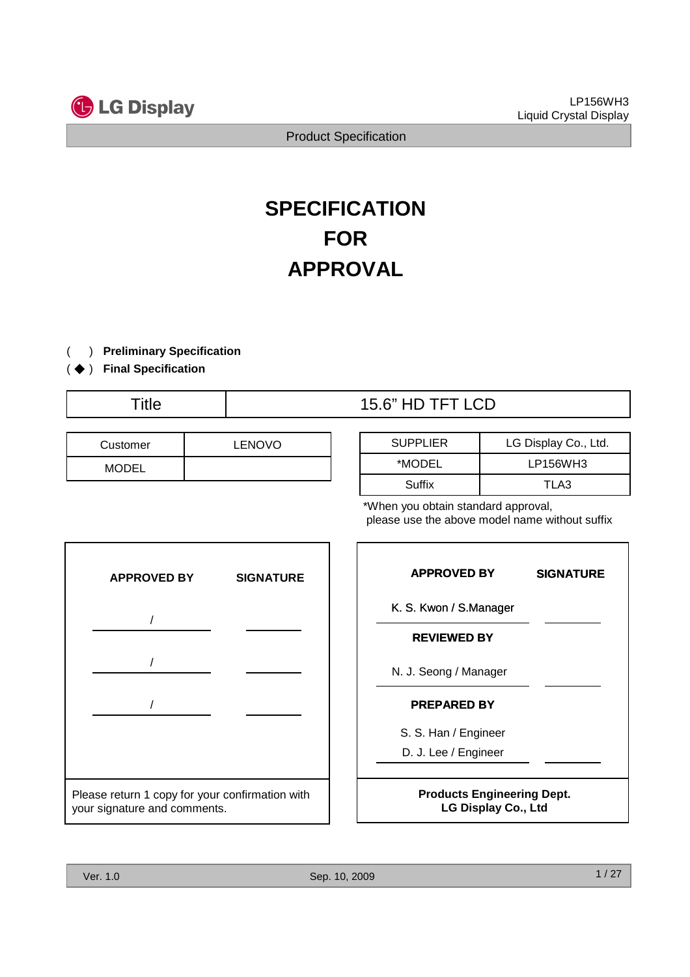

# **SPECIFICATION FOR APPROVAL**

- ) **Preliminary Specification** (
- ) ( ◆ **Final Specification**
	-

| Customer     | <b>LENOVO</b> |
|--------------|---------------|
| <b>MODEL</b> |               |

# Title  $\qquad$  | 15.6" HD TFT LCD

| <b>SUPPLIER</b> | LG Display Co., Ltd. |
|-----------------|----------------------|
| *MODEL          | LP156WH3             |
| Suffix          | TLA3                 |

\*When you obtain standard approval, please use the above model name without suffix



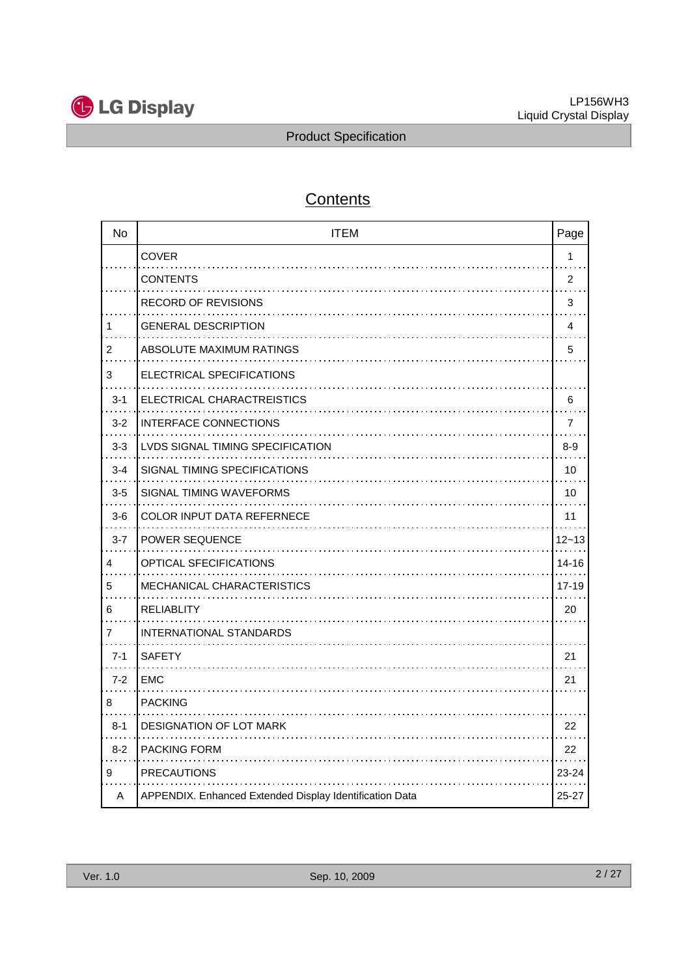

# **Contents**

| <b>No</b>      | <b>ITEM</b>                                             | Page           |
|----------------|---------------------------------------------------------|----------------|
|                | <b>COVER</b>                                            | $\mathbf{1}$   |
|                | <b>CONTENTS</b>                                         | $\overline{c}$ |
|                | <b>RECORD OF REVISIONS</b>                              | 3              |
| 1              | <b>GENERAL DESCRIPTION</b>                              | 4              |
| $\overline{2}$ | ABSOLUTE MAXIMUM RATINGS                                | 5              |
| 3              | ELECTRICAL SPECIFICATIONS                               |                |
| $3 - 1$        | ELECTRICAL CHARACTREISTICS                              | 6              |
| $3 - 2$        | <b>INTERFACE CONNECTIONS</b>                            | 7              |
| $3-3$          | LVDS SIGNAL TIMING SPECIFICATION                        | $8 - 9$        |
| $3 - 4$        | SIGNAL TIMING SPECIFICATIONS                            | 10             |
| $3-5$          | SIGNAL TIMING WAVEFORMS                                 | 10             |
| $3-6$          | <b>COLOR INPUT DATA REFERNECE</b>                       | 11             |
| $3 - 7$        | <b>POWER SEQUENCE</b>                                   | $12 - 13$      |
| 4              | OPTICAL SFECIFICATIONS                                  | 14-16          |
| 5              | MECHANICAL CHARACTERISTICS                              | 17-19          |
| 6              | <b>RELIABLITY</b>                                       | 20             |
| $\overline{7}$ | <b>INTERNATIONAL STANDARDS</b>                          |                |
| $7 - 1$        | <b>SAFETY</b>                                           | 21             |
| $7 - 2$        | <b>EMC</b>                                              | 21             |
| 8              | <b>PACKING</b>                                          |                |
| $8 - 1$        | DESIGNATION OF LOT MARK                                 | 22             |
| $8 - 2$        | <b>PACKING FORM</b>                                     | 22             |
| 9              | <b>PRECAUTIONS</b>                                      | 23-24          |
| A              | APPENDIX. Enhanced Extended Display Identification Data | 25-27          |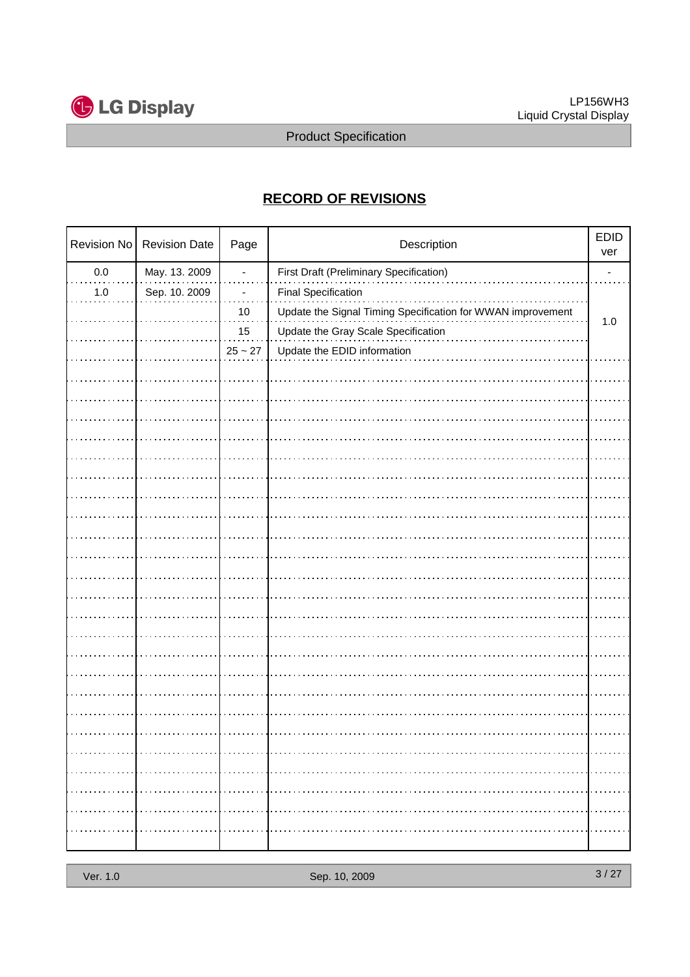

## **RECORD OF REVISIONS**

|         | Revision No   Revision Date | Page       | Description                                                 |       |
|---------|-----------------------------|------------|-------------------------------------------------------------|-------|
| $0.0\,$ | May. 13. 2009               | ٠          | First Draft (Preliminary Specification)                     |       |
| $1.0$   | Sep. 10. 2009               |            | <b>Final Specification</b>                                  |       |
|         |                             | $10$       | Update the Signal Timing Specification for WWAN improvement |       |
|         |                             | 15         | Update the Gray Scale Specification                         | $1.0$ |
|         |                             | $25\sim27$ | Update the EDID information                                 |       |
|         |                             |            |                                                             |       |
|         |                             |            |                                                             |       |
|         |                             |            |                                                             |       |
|         |                             |            |                                                             |       |
|         |                             |            |                                                             |       |
|         |                             |            |                                                             |       |
|         |                             |            |                                                             |       |
|         |                             |            |                                                             |       |
|         |                             |            |                                                             |       |
|         |                             |            |                                                             |       |
|         |                             |            |                                                             |       |
|         |                             |            |                                                             |       |
|         |                             |            |                                                             |       |
|         |                             |            |                                                             |       |
|         |                             |            |                                                             |       |
|         |                             |            |                                                             |       |
|         |                             |            |                                                             |       |
|         |                             |            |                                                             |       |
|         |                             |            |                                                             |       |
|         |                             |            |                                                             |       |
|         |                             |            |                                                             |       |
|         |                             |            |                                                             |       |
|         |                             |            |                                                             |       |
|         |                             |            |                                                             |       |
|         |                             |            |                                                             |       |
|         |                             |            |                                                             |       |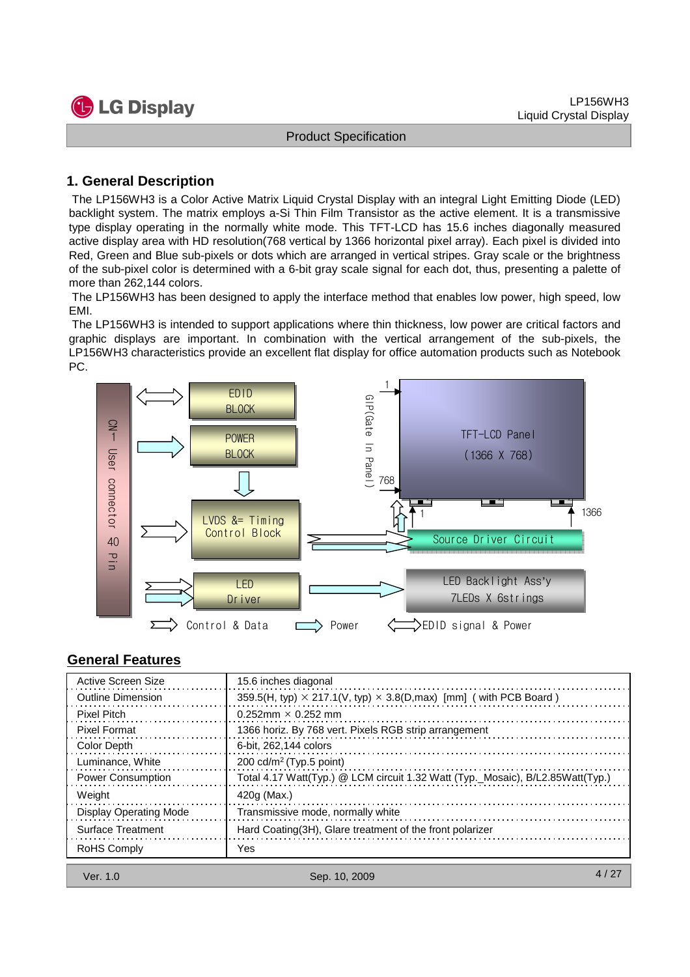

#### **1. General Description**

The LP156WH3 is a Color Active Matrix Liquid Crystal Display with an integral Light Emitting Diode (LED) backlight system. The matrix employs a-Si Thin Film Transistor as the active element. It is a transmissive type display operating in the normally white mode. This TFT-LCD has 15.6 inches diagonally measured active display area with HD resolution(768 vertical by 1366 horizontal pixel array). Each pixel is divided into Red, Green and Blue sub-pixels or dots which are arranged in vertical stripes. Gray scale or the brightness of the sub-pixel color is determined with a 6-bit gray scale signal for each dot, thus, presenting a palette of more than 262,144 colors.

The LP156WH3 has been designed to apply the interface method that enables low power, high speed, low EMI.

The LP156WH3 is intended to support applications where thin thickness, low power are critical factors and graphic displays are important. In combination with the vertical arrangement of the sub-pixels, the LP156WH3 characteristics provide an excellent flat display for office automation products such as Notebook PC.



#### **General Features**

| Active Screen Size            | 15.6 inches diagonal                                                              |
|-------------------------------|-----------------------------------------------------------------------------------|
| <b>Outline Dimension</b>      | 359.5(H, typ) $\times$ 217.1(V, typ) $\times$ 3.8(D, max) [mm] ( with PCB Board ) |
| <b>Pixel Pitch</b>            | $0.252$ mm $\times$ 0.252 mm                                                      |
| <b>Pixel Format</b>           | 1366 horiz. By 768 vert. Pixels RGB strip arrangement                             |
| Color Depth                   | 6-bit. 262.144 colors                                                             |
| Luminance, White              | 200 cd/m <sup>2</sup> (Typ.5 point)                                               |
| <b>Power Consumption</b>      | Total 4.17 Watt(Typ.) @ LCM circuit 1.32 Watt (Typ._Mosaic), B/L2.85Watt(Typ.)    |
| Weight                        | 420g (Max.)                                                                       |
| <b>Display Operating Mode</b> | Transmissive mode, normally white                                                 |
| <b>Surface Treatment</b>      | Hard Coating (3H), Glare treatment of the front polarizer                         |
| RoHS Comply                   | Yes                                                                               |
|                               |                                                                                   |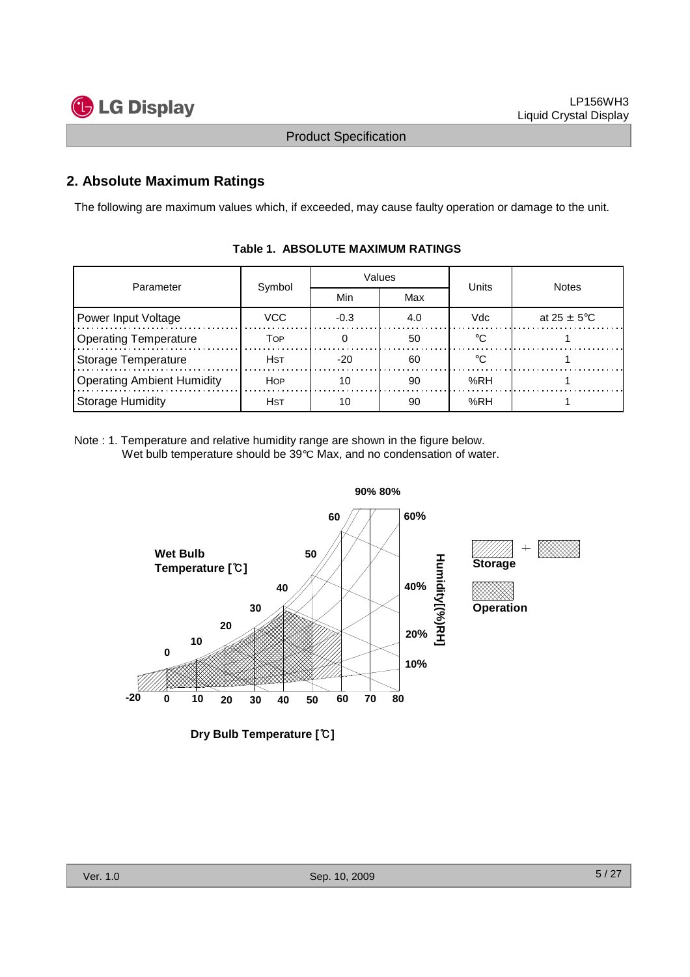

#### **2. Absolute Maximum Ratings**

The following are maximum values which, if exceeded, may cause faulty operation or damage to the unit.

| Parameter                         | Symbol     |        | Values | Units | <b>Notes</b>            |  |
|-----------------------------------|------------|--------|--------|-------|-------------------------|--|
|                                   |            | Min    | Max    |       |                         |  |
| Power Input Voltage               | VCC        | $-0.3$ | 4.0    | Vdc   | at $25 \pm 5^{\circ}$ C |  |
| <b>Operating Temperature</b>      | Тор        |        | 50     |       |                         |  |
| Storage Temperature               | Hst        | $-20$  | 60     |       |                         |  |
| <b>Operating Ambient Humidity</b> | <b>HOP</b> | 10     | 90     | %RH   |                         |  |
| Storage Humidity                  | Hst        |        | 90     | %RH   |                         |  |

#### **Table 1. ABSOLUTE MAXIMUM RATINGS**

Note : 1. Temperature and relative humidity range are shown in the figure below. Wet bulb temperature should be 39°C Max, and no condensation of water.



**Dry Bulb Temperature [**℃**]**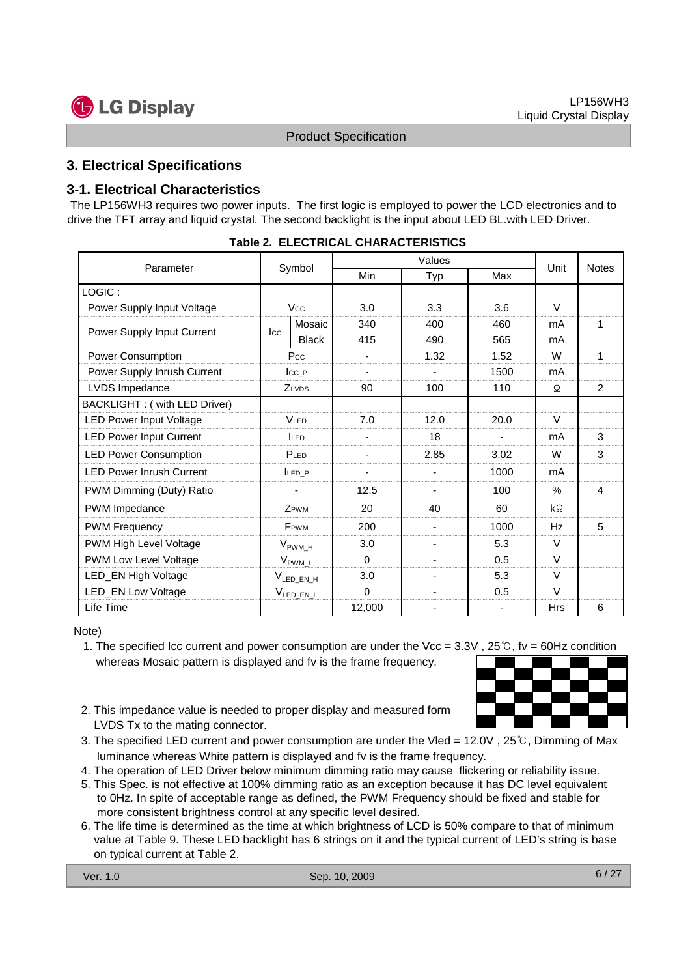

#### **3. Electrical Specifications**

#### **3-1. Electrical Characteristics**

The LP156WH3 requires two power inputs. The first logic is employed to power the LCD electronics and to drive the TFT array and liquid crystal. The second backlight is the input about LED BL.with LED Driver.

| Parameter                       |                     | Symbol                  | Min         | Typ                      | Max            | Unit          | <b>Notes</b> |
|---------------------------------|---------------------|-------------------------|-------------|--------------------------|----------------|---------------|--------------|
| LOGIC:                          |                     |                         |             |                          |                |               |              |
| Power Supply Input Voltage      |                     | <b>Vcc</b>              | 3.0         | 3.3                      | 3.6            | $\vee$        |              |
| Power Supply Input Current      | $_{\rm lcc}$        | Mosaic                  | 340         | 400                      | 460            | mA            | 1            |
|                                 |                     | <b>Black</b>            | 415         | 490                      | 565            | mA            |              |
| Power Consumption               |                     | Pcc                     |             | 1.32                     | 1.52           | W             | 1            |
| Power Supply Inrush Current     |                     | Icc P                   |             |                          | 1500           | mA            |              |
| LVDS Impedance                  |                     | ZLVDS                   | 90          | 100                      | 110            | Ω             | 2            |
| BACKLIGHT: ( with LED Driver)   |                     |                         |             |                          |                |               |              |
| <b>LED Power Input Voltage</b>  | <b>VLED</b>         |                         | 7.0         | 12.0                     | 20.0           | $\vee$        |              |
| <b>LED Power Input Current</b>  | <b>ILED</b>         |                         |             | 18                       | $\blacksquare$ | mA            | 3            |
| <b>LED Power Consumption</b>    |                     | PLED                    |             | 2.85                     | 3.02           | W             | 3            |
| <b>LED Power Inrush Current</b> |                     | LED P                   | ٠           |                          | 1000           | mA            |              |
| PWM Dimming (Duty) Ratio        |                     |                         | 12.5        | ٠                        | 100            | $\frac{0}{0}$ | 4            |
| PWM Impedance                   |                     | ZPWM                    | 20          | 40                       | 60             | $k\Omega$     |              |
| <b>PWM Frequency</b>            |                     | <b>F</b> <sub>PWM</sub> | 200         | ٠                        | 1000           | Hz            | 5            |
| PWM High Level Voltage          | $V_{\text{PWM\_H}}$ |                         | 3.0         | ٠                        | 5.3            | $\vee$        |              |
| PWM Low Level Voltage           | $V_{\text{PWM}_L}$  |                         | $\Omega$    | $\overline{\phantom{0}}$ | 0.5            | $\vee$        |              |
| LED_EN High Voltage             | $V_{LED\_EN_H}$     |                         | 3.0         | ٠                        | 5.3            | $\vee$        |              |
| <b>LED_EN Low Voltage</b>       | $V_{LED_EN_L}$      |                         | $\mathbf 0$ |                          | 0.5            | $\vee$        |              |
| Life Time                       |                     |                         | 12,000      |                          |                | Hrs           | 6            |

|  | Table 2. ELECTRICAL CHARACTERISTICS |
|--|-------------------------------------|
|--|-------------------------------------|

#### Note)

- 1. The specified Icc current and power consumption are under the Vcc = 3.3V , 25℃, fv = 60Hz condition whereas Mosaic pattern is displayed and fv is the frame frequency.
- 2. This impedance value is needed to proper display and measured form LVDS Tx to the mating connector.
- 3. The specified LED current and power consumption are under the Vled = 12.0V , 25℃, Dimming of Max luminance whereas White pattern is displayed and fv is the frame frequency.
- 4. The operation of LED Driver below minimum dimming ratio may cause flickering or reliability issue.
- 5. This Spec. is not effective at 100% dimming ratio as an exception because it has DC level equivalent to 0Hz. In spite of acceptable range as defined, the PWM Frequency should be fixed and stable for more consistent brightness control at any specific level desired.
- 6. The life time is determined as the time at which brightness of LCD is 50% compare to that of minimum value at Table 9. These LED backlight has 6 strings on it and the typical current of LED's string is base on typical current at Table 2.

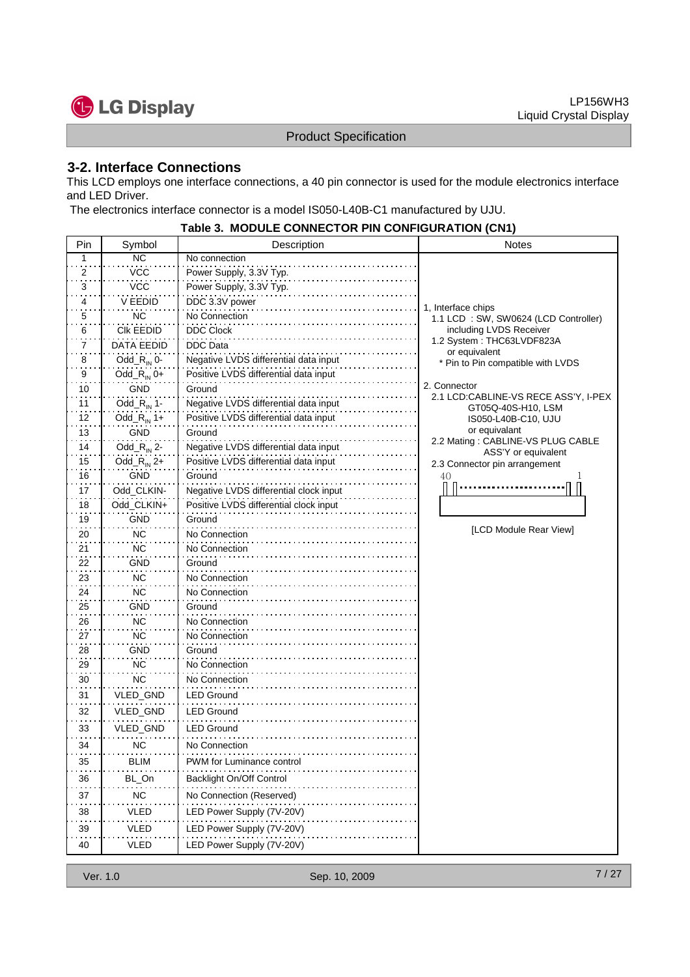

#### **3-2. Interface Connections**

This LCD employs one interface connections, a 40 pin connector is used for the module electronics interface and LED Driver.

The electronics interface connector is a model IS050-L40B-C1 manufactured by UJU.

|     |                         | <b>MODULL CONNECTION I IN CONTROVATION (CNT)</b> |                                                      |
|-----|-------------------------|--------------------------------------------------|------------------------------------------------------|
| Pin | Symbol                  | Description                                      | <b>Notes</b>                                         |
| 1   | NC                      | No connection                                    |                                                      |
| 2   | <b>VCC</b>              | Power Supply, 3.3V Typ.                          |                                                      |
| 3   | VCC                     | Power Supply, 3.3V Typ.                          |                                                      |
| 4   | V EEDID                 | DDC 3.3V power                                   | 1, Interface chips                                   |
| 5   | ΝC                      | No Connection                                    | 1.1 LCD : SW, SW0624 (LCD Controller)                |
| 6   | <b>CIK EEDID</b>        | <b>DDC Clock</b>                                 | including LVDS Receiver<br>1.2 System: THC63LVDF823A |
| 7   | DATA EEDID              | <b>DDC</b> Data                                  | or equivalent                                        |
| 8   | Odd_ $R_{\text{IN}}$ 0- | Negative LVDS differential data input            | * Pin to Pin compatible with LVDS                    |
| 9   | Odd_ $R_{IN}$ 0+        | Positive LVDS differential data input            | 2. Connector                                         |
| 10  | GND                     | Ground                                           | 2.1 LCD:CABLINE-VS RECE ASS'Y, I-PEX                 |
| 11  | Odd_ $R_{\text{IN}}$ 1- | Negative LVDS differential data input            | GT05Q-40S-H10, LSM                                   |
| 12  | Odd_R <sub>IN</sub> 1+  | Positive LVDS differential data input            | IS050-L40B-C10, UJU                                  |
| 13  | <b>GND</b>              | Ground                                           | or equivalant<br>2.2 Mating: CABLINE-VS PLUG CABLE   |
| 14  | Odd_ $R_{\text{IN}}$ 2- | Negative LVDS differential data input            | ASS'Y or equivalent                                  |
| 15  | Odd_ $R_{IN}$ 2+        | Positive LVDS differential data input            | 2.3 Connector pin arrangement                        |
| 16  | <b>GND</b>              | Ground                                           | 40                                                   |
| 17  | Odd_CLKIN-              | Negative LVDS differential clock input           |                                                      |
| 18  | Odd_CLKIN+              | Positive LVDS differential clock input           |                                                      |
| 19  | <b>GND</b>              | Ground                                           |                                                      |
| 20  | NC                      | No Connection                                    | [LCD Module Rear View]                               |
| 21  | <b>NC</b>               | No Connection                                    |                                                      |
| 22  | GND                     | Ground                                           |                                                      |
| 23  | ΝC                      | No Connection                                    |                                                      |
| 24  | NC                      | No Connection                                    |                                                      |
| 25  | GND                     | Ground                                           |                                                      |
| 26  | <b>NC</b>               | No Connection                                    |                                                      |
| 27  | <b>NC</b>               | No Connection                                    |                                                      |
| 28  | <b>GND</b>              | Ground                                           |                                                      |
| 29  | <b>NC</b>               | No Connection                                    |                                                      |
| 30  | <b>NC</b>               | No Connection                                    |                                                      |
| 31  | VLED_GND                | <b>LED Ground</b>                                |                                                      |
| 32  | VLED_GND                | <b>LED Ground</b>                                |                                                      |
| 33  | VLED_GND                | <b>LED Ground</b>                                |                                                      |
| 34  | ΝC                      | No Connection                                    |                                                      |
| 35  | <b>BLIM</b>             | PWM for Luminance control                        |                                                      |
| 36  | BL_On                   | Backlight On/Off Control                         |                                                      |
| 37  | NC.                     | No Connection (Reserved)                         |                                                      |
| 38  | VLED                    | LED Power Supply (7V-20V)                        |                                                      |
| 39  | VLED                    | LED Power Supply (7V-20V)                        |                                                      |
| 40  | VLED                    | LED Power Supply (7V-20V)                        |                                                      |

# **Table 3. MODULE CONNECTOR PIN CONFIGURATION (CN1)**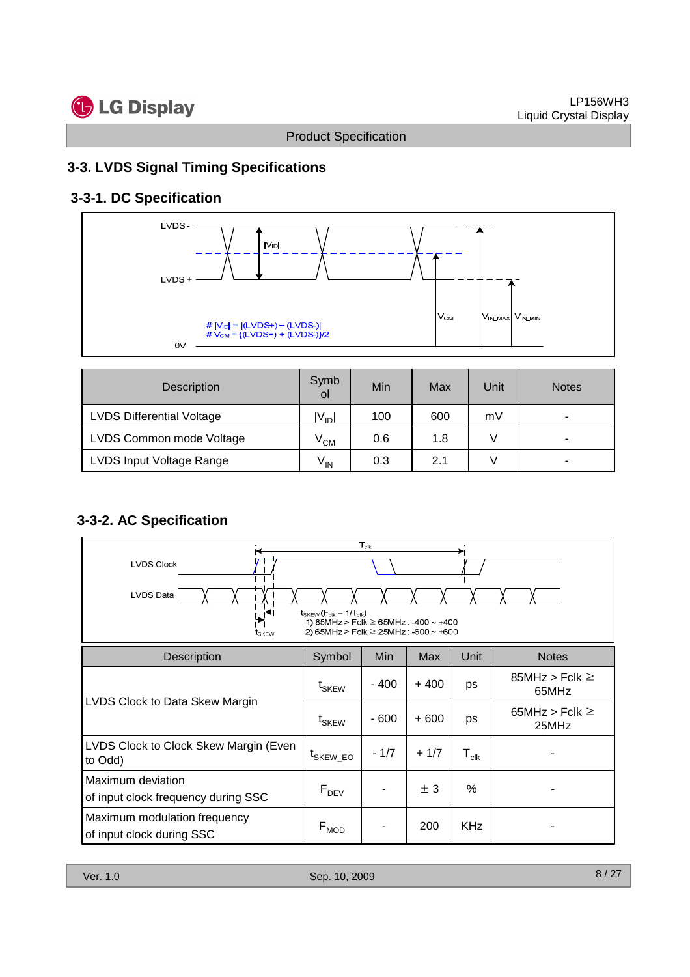

### **3-3. LVDS Signal Timing Specifications**

## **3-3-1. DC Specification**



| <b>Description</b>               | Symb<br>οl      | Min | Max | Unit | <b>Notes</b>             |
|----------------------------------|-----------------|-----|-----|------|--------------------------|
| <b>LVDS Differential Voltage</b> | $ V_{ID} $      | 100 | 600 | mV   | $\overline{\phantom{a}}$ |
| LVDS Common mode Voltage         | $V^{\text{CM}}$ | 0.6 | 1.8 |      | ۰                        |
| LVDS Input Voltage Range         | $V_{\text{IN}}$ | 0.3 | 2.1 |      | $\overline{\phantom{a}}$ |

#### **3-3-2. AC Specification**

| $\mathsf{T}_{\mathsf{clk}}$<br><b>LVDS Clock</b><br><b>LVDS Data</b><br>$t_{SKEW}$ ( $F_{clk}$ = 1/ $T_{clk}$ )<br>∩<br>1) 85MHz > Fclk $\geq$ 65MHz : -400 ~ +400<br>2) 65MHz > Fclk $\geq$ 25MHz : -600 $\sim$ +600<br>tskew |                      |        |        |                  |                              |  |  |  |
|--------------------------------------------------------------------------------------------------------------------------------------------------------------------------------------------------------------------------------|----------------------|--------|--------|------------------|------------------------------|--|--|--|
| <b>Description</b>                                                                                                                                                                                                             | Symbol               | Min    | Max    | Unit             | <b>Notes</b>                 |  |  |  |
|                                                                                                                                                                                                                                | t <sub>SKEW</sub>    | - 400  | $+400$ | ps               | 85MHz > Fclk $\geq$<br>65MHz |  |  |  |
| LVDS Clock to Data Skew Margin                                                                                                                                                                                                 | $t_{SKEW}$           | - 600  | $+600$ | ps               | 65MHz > Fclk $\geq$<br>25MHz |  |  |  |
| LVDS Clock to Clock Skew Margin (Even<br>to Odd)                                                                                                                                                                               | <sup>L</sup> SKEW EO | $-1/7$ | $+1/7$ | $T_{\text{clk}}$ |                              |  |  |  |
| Maximum deviation<br>of input clock frequency during SSC                                                                                                                                                                       | $F_{DEV}$            |        | ± 3    | %                |                              |  |  |  |
| Maximum modulation frequency<br>of input clock during SSC                                                                                                                                                                      | $F_{MOD}$            |        | 200    | <b>KHz</b>       |                              |  |  |  |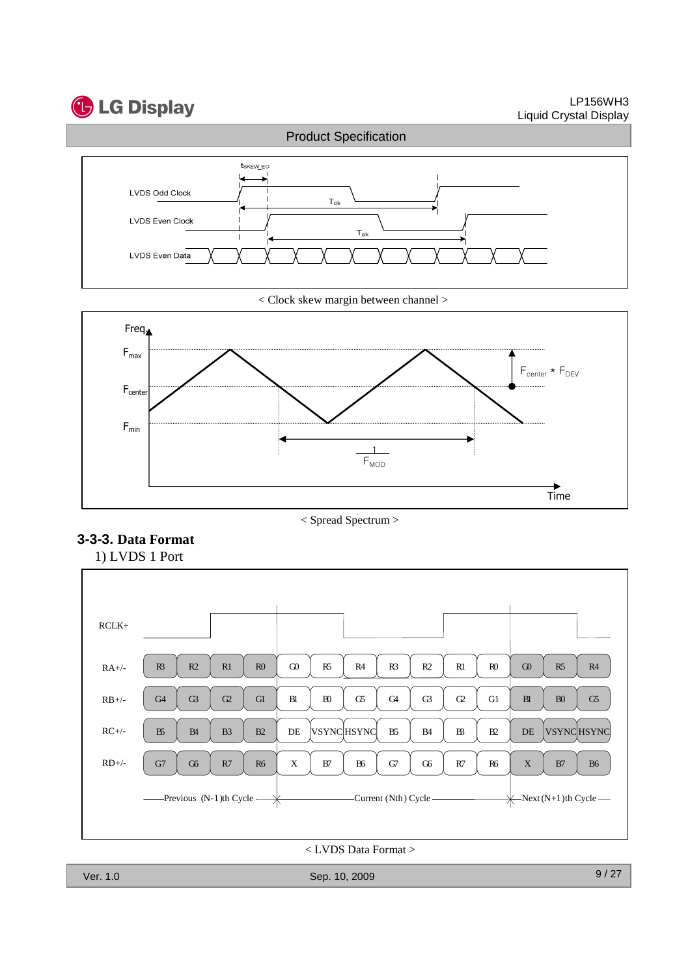# **C** LG Display

LP156WH3 Liquid Crystal Display



< Clock skew margin between channel >









< LVDS Data Format >

Ver. 1.0 Sep. 10, 2009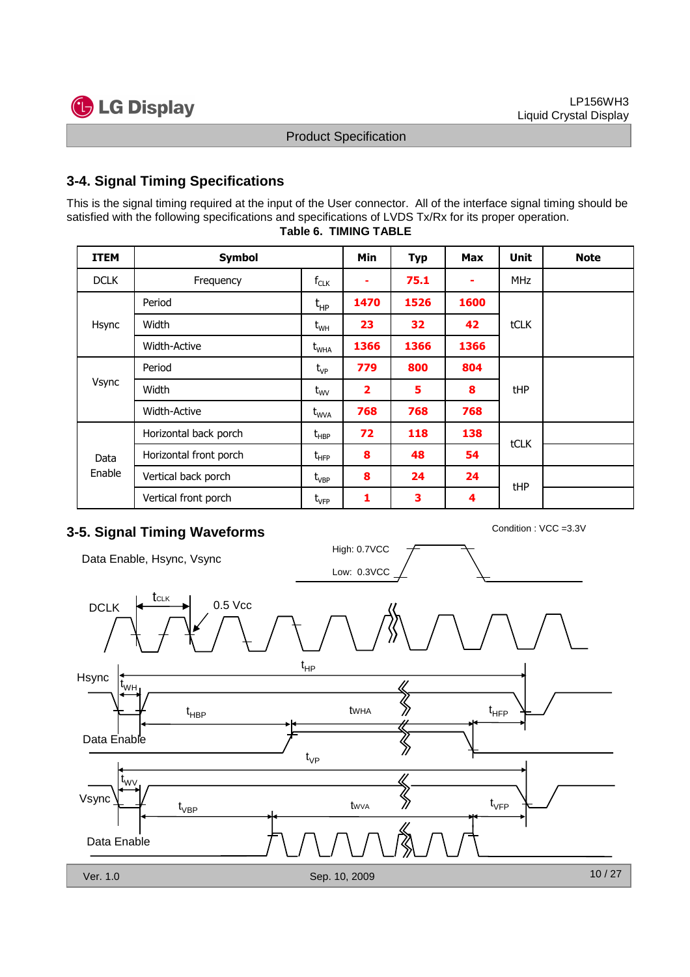



### **3-4. Signal Timing Specifications**

This is the signal timing required at the input of the User connector. All of the interface signal timing should be satisfied with the following specifications and specifications of LVDS Tx/Rx for its proper operation.

| <b>ITEM</b>    | <b>Symbol</b>          |                                  | Min                     | <b>Typ</b> | <b>Max</b> | <b>Unit</b> | <b>Note</b> |
|----------------|------------------------|----------------------------------|-------------------------|------------|------------|-------------|-------------|
| <b>DCLK</b>    | Frequency              |                                  | ۰                       | 75.1       | ۰          | <b>MHz</b>  |             |
|                | Period                 | $t_{HP}$                         | 1470                    | 1526       | 1600       |             |             |
| Hsync          | Width                  | $t_{WH}$                         | 23                      | 32         | 42         | <b>tCLK</b> |             |
|                | <b>Width-Active</b>    | $t_{\text{WHA}}$                 | 1366                    | 1366       | 1366       |             |             |
|                | Period                 | $t_{VP}$                         | 779                     | 800        | 804        |             |             |
| Vsync          | Width                  | $t_{\text{WV}}$                  | $\overline{\mathbf{2}}$ | 5          | 8          | tHP         |             |
|                | Width-Active           | $\rm{t_{WVA}}$                   | 768                     | 768        | 768        |             |             |
|                | Horizontal back porch  | $t_{\scriptscriptstyle \sf HBP}$ | 72                      | 118        | 138        | tCLK        |             |
| Data<br>Enable | Horizontal front porch | $t_{\text{HFP}}$                 | 8                       | 48         | 54         |             |             |
|                | Vertical back porch    | $t_{VBP}$                        | 8                       | 24         | 24         | tHP         |             |
|                | Vertical front porch   | $t_{\rm VFP}$                    | 1                       | 3          | 4          |             |             |

#### **Table 6. TIMING TABLE**

# **3-5. Signal Timing Waveforms** Condition : VCC =3.3V

Data Enable, Hsync, Vsync



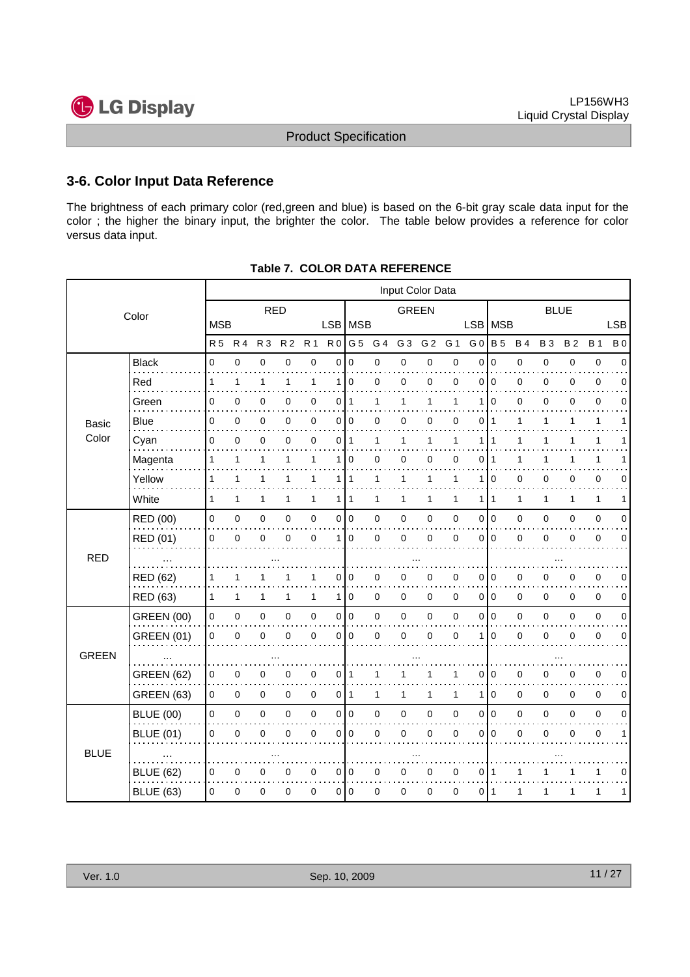

#### **3-6. Color Input Data Reference**

The brightness of each primary color (red,green and blue) is based on the 6-bit gray scale data input for the color ; the higher the binary input, the brighter the color. The table below provides a reference for color versus data input.

| Color        |                   | Input Color Data |              |                |                |                     |                |              |              |                |                |                |                |              |              |             |           |              |             |
|--------------|-------------------|------------------|--------------|----------------|----------------|---------------------|----------------|--------------|--------------|----------------|----------------|----------------|----------------|--------------|--------------|-------------|-----------|--------------|-------------|
|              |                   | <b>RED</b>       |              |                |                | <b>GREEN</b>        |                |              |              | <b>BLUE</b>    |                |                |                |              |              |             |           |              |             |
|              |                   | <b>MSB</b>       |              |                |                |                     |                | LSB MSB      |              |                |                |                |                | LSB MSB      |              |             |           |              | <b>LSB</b>  |
|              |                   | <b>R5</b>        | <b>R4</b>    | R <sub>3</sub> | R <sub>2</sub> | R <sub>1</sub>      | R <sub>0</sub> | G 5          | G 4          | G <sub>3</sub> | G <sub>2</sub> | G 1            | G <sub>0</sub> | <b>B</b> 5   | <b>B4</b>    | <b>B3</b>   | <b>B2</b> | <b>B</b> 1   | <b>B</b> 0  |
|              | <b>Black</b>      | 0                | 0            | $\pmb{0}$      | 0              | $\mathbf 0$         | 0              | $\mathbf 0$  | 0            | $\mathbf 0$    | 0              | $\mathbf 0$    | 0              | $\mathbf 0$  | $\mathbf 0$  | $\mathbf 0$ | 0         | $\pmb{0}$    | $\mathbf 0$ |
|              | Red               | 1                | 1            | 1              | 1              | 1                   | 1              | $\mathbf 0$  | 0            | 0              | 0              | $\mathbf 0$    | 0              | $\mathbf 0$  | $\mathbf 0$  | 0           | 0         | $\mathbf 0$  | $\mathbf 0$ |
|              | Green             | 0                | 0            | 0              | 0              | 0                   | 0              | $\mathbf{1}$ | 1            | 1              | 1              | 1              | 1              | $\Omega$     | $\mathbf 0$  | 0           | 0         | $\mathbf 0$  | $\Omega$    |
| Basic        | <b>Blue</b>       | 0                | 0            | 0              | 0              | $\pmb{0}$           | $\overline{0}$ | 0            | 0            | 0              | 0              | 0              | 0              | -1           | 1            | 1           | 1         | 1            | 1           |
| Color        | Cyan              | $\mathbf 0$      | 0            | 0              | 0              | $\mathbf 0$         | 0              | 1            | 1            | 1              | 1              | 1              | 1              | 1            | 1            | 1           | 1         | $\mathbf{1}$ |             |
|              | Magenta           | 1                | 1            | 1              | 1              | 1                   | 1              | $\mathbf 0$  | 0            | 0              | 0              | $\mathbf 0$    | 0              | 1            | 1            | 1           | 1         | 1            |             |
|              | Yellow            | $\mathbf{1}$     | $\mathbf{1}$ | 1              | 1              | $\mathbf{1}$        |                | 111          | $\mathbf{1}$ | 1              | 1              | 1              | 1              | $\mathbf 0$  | 0            | 0           | 0         | $\pmb{0}$    | $\mathbf 0$ |
|              | White             | $\mathbf{1}$     | 1            | 1              | 1              | $\mathbf{1}$        |                | 1 1          | 1            | $\mathbf{1}$   | 1              | 1              | 1              | $\mathbf{1}$ | $\mathbf{1}$ | 1           | 1         | $\mathbf{1}$ | 1           |
|              | RED (00)          | 0                | $\pmb{0}$    | $\pmb{0}$      | 0              | $\mathsf{O}\xspace$ |                | 0 0          | 0            | $\pmb{0}$      | $\mathbf 0$    | $\mathbf 0$    | 0              | I٥           | 0            | $\mathbf 0$ | 0         | $\pmb{0}$    | $\mathbf 0$ |
|              | RED (01)          | $\mathbf 0$      | $\mathbf 0$  | $\mathbf 0$    | 0              | $\mathbf 0$         | 1 <sup>1</sup> | $\Omega$     | 0            | $\mathbf 0$    | 0              | $\overline{0}$ | $\Omega$       | ۱o           | $\mathbf 0$  | $\mathbf 0$ | $\Omega$  | $\mathbf 0$  | $\mathbf 0$ |
| <b>RED</b>   |                   |                  |              |                |                |                     |                |              |              |                |                |                |                |              |              |             |           |              |             |
|              | RED (62)          | 1                | 1            | 1              |                | 1                   | 0              | 0            | 0            | 0              | 0              | 0              | 0              | l 0          | 0            | 0           | 0         | $\pmb{0}$    | $\mathbf 0$ |
|              | <b>RED (63)</b>   | $\mathbf{1}$     | $\mathbf{1}$ | 1              | 1              | $\mathbf{1}$        |                | 110          | 0            | $\mathbf 0$    | $\mathbf 0$    | $\mathbf 0$    | 0 0            |              | 0            | $\mathbf 0$ | 0         | $\pmb{0}$    | $\mathbf 0$ |
|              | <b>GREEN (00)</b> | 0                | 0            | $\pmb{0}$      | 0              | $\pmb{0}$           |                | 0 0          | 0            | $\pmb{0}$      | $\mathbf 0$    | 0              | 0              | I٥           | 0            | 0           | 0         | $\mathbf 0$  | $\mathbf 0$ |
|              | <b>GREEN (01)</b> | 0                | 0            | $\pmb{0}$      | 0              | $\pmb{0}$           | $\overline{0}$ | $\mathbf 0$  | 0            | $\mathbf 0$    | 0              | $\mathbf 0$    | 1              | $\mathbf 0$  | $\mathbf 0$  | 0           | 0         | $\pmb{0}$    | $\mathbf 0$ |
| <b>GREEN</b> |                   |                  |              |                |                |                     |                |              |              |                |                |                |                |              |              |             |           |              |             |
|              | <b>GREEN (62)</b> | 0                | 0            | 0              | 0              | $\pmb{0}$           | $\overline{0}$ | 1            | 1            | 1              | 1              | 1              | 0              | 0            | 0            | 0           | 0         | $\pmb{0}$    | 0           |
|              | <b>GREEN (63)</b> | 0                | 0            | $\mathbf 0$    | 0              | $\mathbf 0$         |                | 011          | $\mathbf{1}$ | 1              | 1              | 1              | 1              | $\mathbf 0$  | $\pmb{0}$    | 0           | 0         | $\mathbf 0$  | 0           |
|              | <b>BLUE (00)</b>  | 0                | $\pmb{0}$    | $\pmb{0}$      | 0              | $\mathsf{O}\xspace$ |                | 0 0          | 0            | $\mathbf 0$    | $\mathbf 0$    | $\mathbf 0$    | 0              | I٥           | 0            | $\mathbf 0$ | 0         | $\pmb{0}$    | $\mathbf 0$ |
|              | <b>BLUE (01)</b>  | 0                | $\mathbf 0$  | $\pmb{0}$      | $\overline{0}$ | $\mathbf 0$         | 0              | $\Omega$     | 0            | $\mathbf 0$    | 0              | $\mathbf 0$    | $\Omega$       | l O          | 0            | $\mathbf 0$ | 0         | $\pmb{0}$    | 1           |
| <b>BLUE</b>  |                   |                  |              |                |                |                     |                |              |              |                |                |                |                |              |              |             |           |              |             |
|              | <b>BLUE (62)</b>  | $\mathbf 0$      | $\pmb{0}$    | $\pmb{0}$      | 0              | $\pmb{0}$           |                | 0 0          | 0            | 0              | $\mathbf 0$    | 0              | 0              | ∣ 1          | 1            |             | 1         | 1            | 0           |
|              | <b>BLUE (63)</b>  | $\mathbf 0$      | 0            | 0              | 0              | $\mathbf 0$         |                | 0 0          | 0            | 0              | 0              | 0              | 0              | ∣ 1          | 1            | 1           | 1         | 1            | 1           |

**Table 7. COLOR DATA REFERENCE**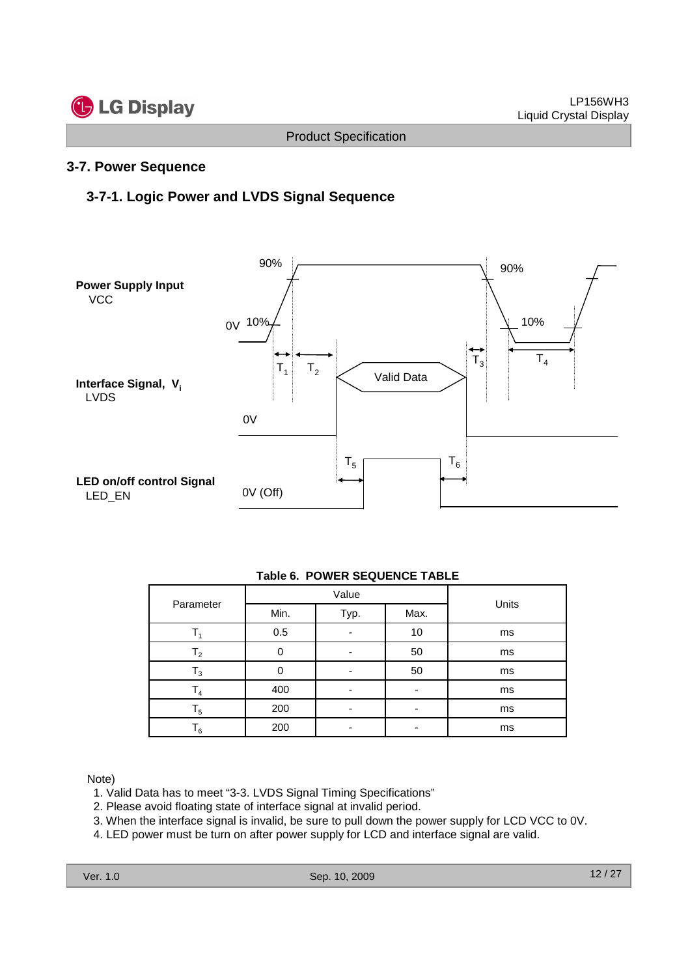

#### **3-7. Power Sequence**

#### **3-7-1. Logic Power and LVDS Signal Sequence**



| <b>Table 6. POWER SEQUENCE TABLE</b> |
|--------------------------------------|
|--------------------------------------|

| Parameter      |                      | Value | Units |    |
|----------------|----------------------|-------|-------|----|
|                | Min.<br>Max.<br>Typ. |       |       |    |
|                | 0.5                  |       | 10    | ms |
| $\mathsf{T}_2$ |                      |       | 50    | ms |
| $_{3}$         |                      |       | 50    | ms |
| $\mathsf{I}_4$ | 400                  |       |       | ms |
| $\mathsf{T}_5$ | 200                  |       |       | ms |
| 6 ا            | 200                  |       |       | ms |

Note)

- 1. Valid Data has to meet "3-3. LVDS Signal Timing Specifications"
- 2. Please avoid floating state of interface signal at invalid period.
- 3. When the interface signal is invalid, be sure to pull down the power supply for LCD VCC to 0V.
- 4. LED power must be turn on after power supply for LCD and interface signal are valid.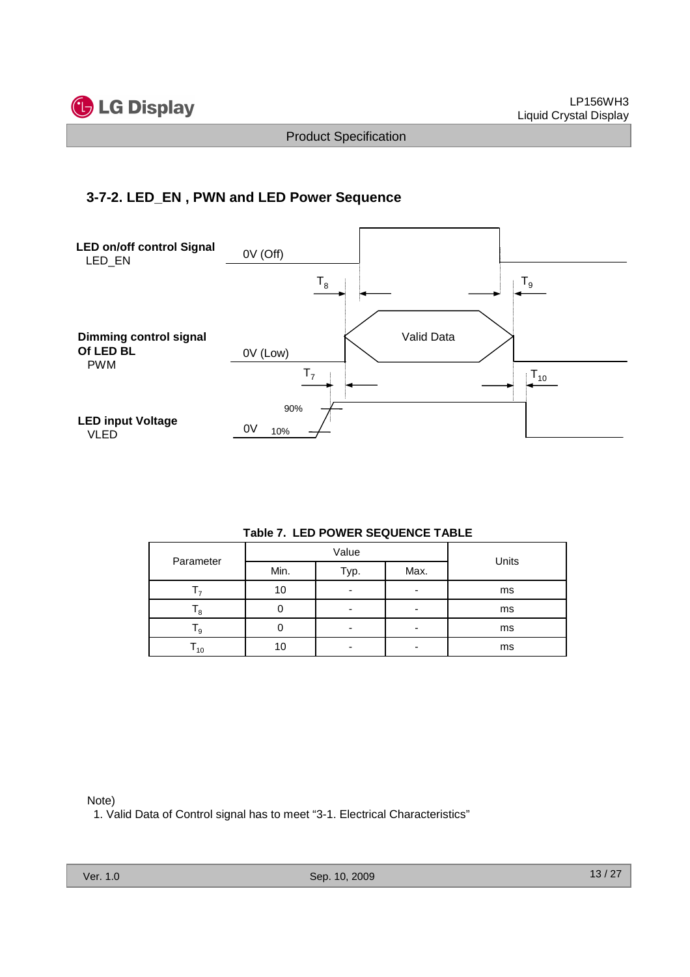

#### **3-7-2. LED\_EN , PWN and LED Power Sequence**



#### **Table 7. LED POWER SEQUENCE TABLE**

| Parameter         |                      | Value | Units |    |  |  |
|-------------------|----------------------|-------|-------|----|--|--|
|                   | Min.<br>Max.<br>Typ. |       |       |    |  |  |
|                   | 10                   | -     |       | ms |  |  |
| 8                 |                      |       | -     | ms |  |  |
| ۹.                |                      | -     | -     | ms |  |  |
| $\mathsf{I}_{10}$ |                      |       |       | ms |  |  |

Note)

1. Valid Data of Control signal has to meet "3-1. Electrical Characteristics"

Ver. 1.0 Sep. 10, 2009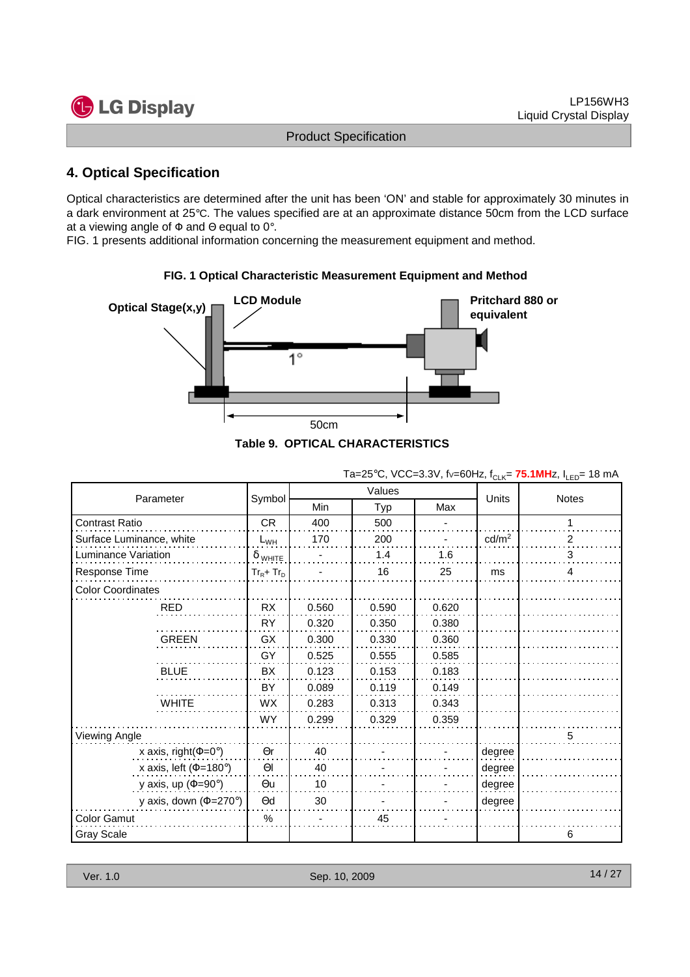

#### **4. Optical Specification**

Optical characteristics are determined after the unit has been 'ON' and stable for approximately 30 minutes in a dark environment at 25°C. The values specified are at an approximate distance 50cm from the LCD surface at a viewing angle of  $\Phi$  and  $\Theta$  equal to 0°.

FIG. 1 presents additional information concerning the measurement equipment and method.



#### **FIG. 1 Optical Characteristic Measurement Equipment and Method**

|  | ). OFTIGAL GRAKAGTERISTIGS |  |
|--|----------------------------|--|
|  |                            |  |

|                                   |                | Values     |       |       |                   |       |  |
|-----------------------------------|----------------|------------|-------|-------|-------------------|-------|--|
| Parameter                         | Symbol         | Min<br>Typ |       | Max   | <b>Units</b>      | Notes |  |
| Contrast Ratio                    | CR             | 400        | 500   |       |                   | 1     |  |
| Surface Luminance, white          | $L_{WH}$       | 170        | 200   |       | cd/m <sup>2</sup> | 2     |  |
| Luminance Variation               | $\delta$ white |            | 1.4   | 1.6   |                   | 3     |  |
| Response Time                     | $Tr_R + Tr_D$  |            | 16    | 25    | ms                | 4     |  |
| <b>Color Coordinates</b>          |                |            |       |       |                   |       |  |
| <b>RED</b>                        | RX             | 0.560      | 0.590 | 0.620 |                   |       |  |
|                                   | <b>RY</b>      | 0.320      | 0.350 | 0.380 |                   |       |  |
| <b>GREEN</b>                      | GX             | 0.300      | 0.330 | 0.360 |                   |       |  |
|                                   | GY             | 0.525      | 0.555 | 0.585 |                   |       |  |
| <b>BLUE</b>                       | <b>BX</b>      | 0.123      | 0.153 | 0.183 |                   |       |  |
|                                   | <b>BY</b>      | 0.089      | 0.119 | 0.149 |                   |       |  |
| <b>WHITE</b>                      | <b>WX</b>      | 0.283      | 0.313 | 0.343 |                   |       |  |
|                                   | <b>WY</b>      | 0.299      | 0.329 | 0.359 |                   |       |  |
| Viewing Angle                     |                |            |       |       |                   | 5     |  |
| x axis, right( $\Phi$ =0°)        | $\Theta$ r     | 40         |       |       | degree            |       |  |
| x axis, left ( $\Phi$ =180°)      | $\Theta$       | 40         |       |       | degree            |       |  |
| y axis, up ( $\Phi$ =90°)         | $\Theta$ u     | 10         |       |       | degree            |       |  |
| y axis, down $(\Phi = 270^\circ)$ | $\Theta$ d     | 30         |       |       | degree            |       |  |
| Color Gamut                       | $\%$           |            | 45    |       |                   |       |  |
| <b>Gray Scale</b>                 |                |            |       |       |                   | 6     |  |

Ta=25°C, VCC=3.3V, fv=60Hz,  $f_{CLK} = 75.1$ MHz,  $I_{LED} = 18$  mA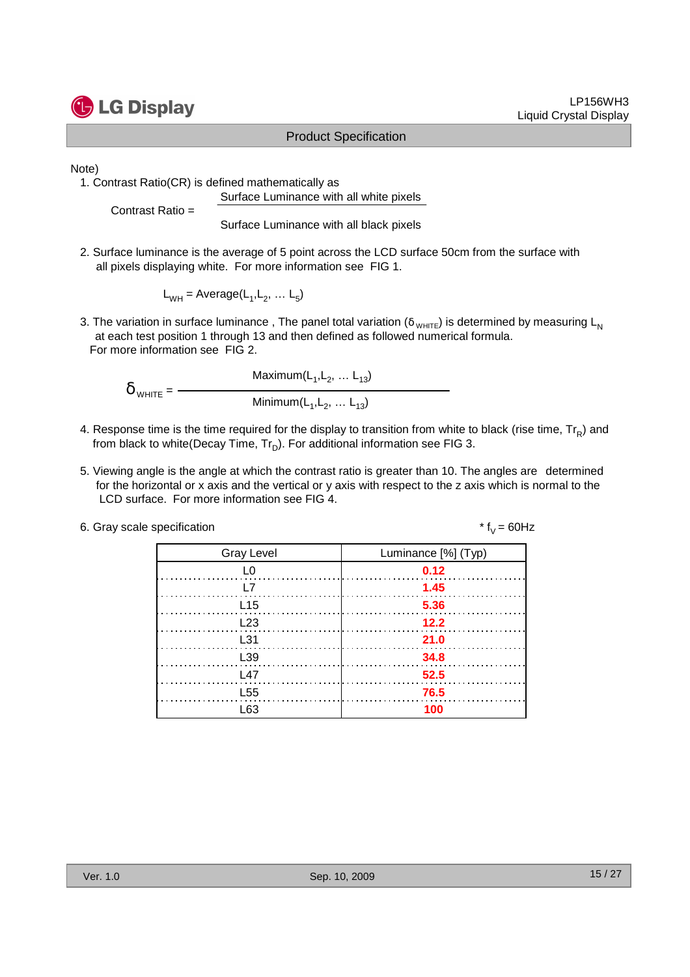

Note)

1. Contrast Ratio(CR) is defined mathematically as Surface Luminance with all white pixels

Contrast Ratio =

Surface Luminance with all black pixels

2. Surface luminance is the average of 5 point across the LCD surface 50cm from the surface with all pixels displaying white. For more information see FIG 1.

 $L_{WH}$  = Average( $L_1, L_2, ... L_5$ )

3. The variation in surface luminance, The panel total variation ( $\delta_{WHTE}$ ) is determined by measuring L<sub>N</sub> at each test position 1 through 13 and then defined as followed numerical formula. For more information see FIG 2.

Maximum $(\mathsf{L}_1, \mathsf{L}_2, \ldots \mathsf{L}_{13})$  $\delta$  <sub>WHITE</sub> =  $-$ Minimum $(\mathsf{L}_1, \mathsf{L}_2, \ldots \mathsf{L}_{13})$ 

- 4. Response time is the time required for the display to transition from white to black (rise time,  $\text{Tr}_{\textsf{\textsf{R}}}$ ) and from black to white(Decay Time,  $\mathsf{Tr}_{\mathsf{D}}$ ). For additional information see FIG 3.
- 5. Viewing angle is the angle at which the contrast ratio is greater than 10. The angles are determined for the horizontal or x axis and the vertical or y axis with respect to the z axis which is normal to the LCD surface. For more information see FIG 4.

| 6. Gray scale specification | * $f_v = 60$ Hz |
|-----------------------------|-----------------|
|-----------------------------|-----------------|

| <b>Gray Level</b> | Luminance [%] (Typ) |
|-------------------|---------------------|
| L <sub>0</sub>    | 0.12                |
| <u> 17</u>        | $\sim$ 1.45         |
| L15               | 5.36                |
| L23               | 12.2                |
| L31               | 21.0                |
| L39               | 34.8                |
| L47               | 52.5                |
| L <sub>55</sub>   | 76.5                |
| ี 63              | 100                 |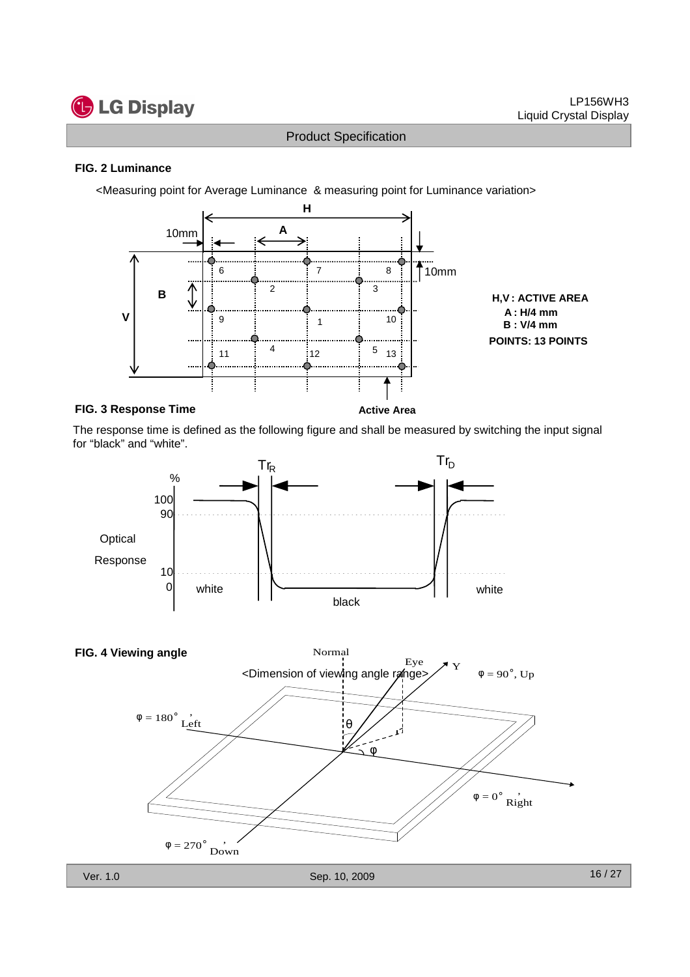# **G** LG Display

Product Specification

#### **FIG. 2 Luminance**

<Measuring point for Average Luminance & measuring point for Luminance variation>



#### **FIG. 3 Response Time**

**Active Area**

The response time is defined as the following figure and shall be measured by switching the input signal for "black" and "white".





16 / 27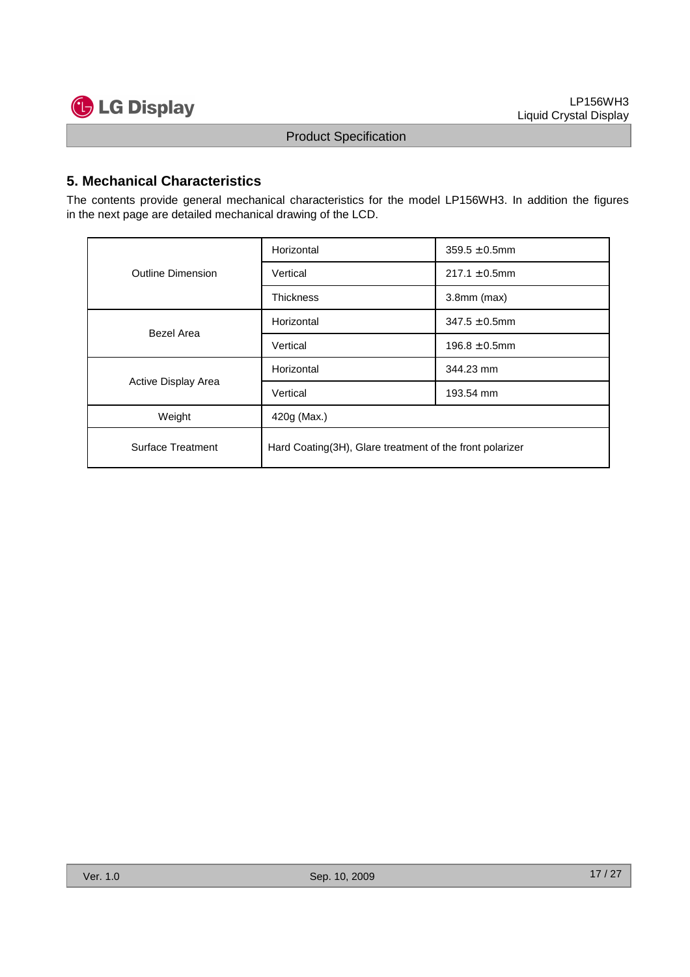

#### **5. Mechanical Characteristics**

The contents provide general mechanical characteristics for the model LP156WH3. In addition the figures in the next page are detailed mechanical drawing of the LCD.

|                          | Horizontal                                               | $359.5 \pm 0.5$ mm |  |  |  |
|--------------------------|----------------------------------------------------------|--------------------|--|--|--|
| <b>Outline Dimension</b> | Vertical                                                 | $217.1 \pm 0.5$ mm |  |  |  |
|                          | <b>Thickness</b>                                         | $3.8$ mm $(max)$   |  |  |  |
| Bezel Area               | Horizontal                                               | $347.5 \pm 0.5$ mm |  |  |  |
|                          | Vertical                                                 | $196.8 \pm 0.5$ mm |  |  |  |
| Active Display Area      | Horizontal                                               | 344.23 mm          |  |  |  |
|                          | Vertical                                                 | 193.54 mm          |  |  |  |
| Weight                   | 420g (Max.)                                              |                    |  |  |  |
| Surface Treatment        | Hard Coating(3H), Glare treatment of the front polarizer |                    |  |  |  |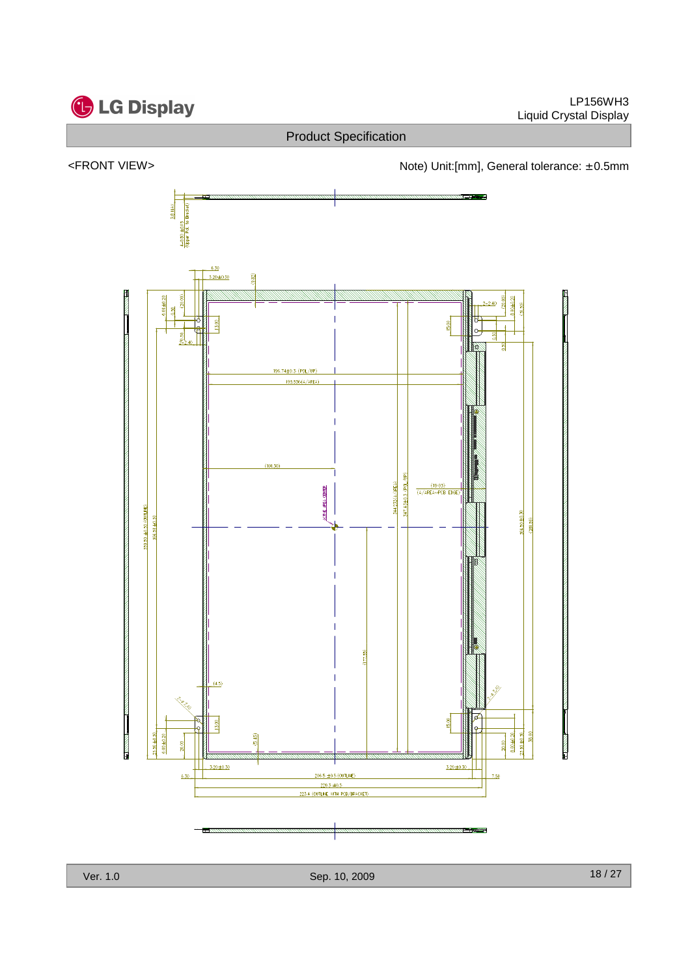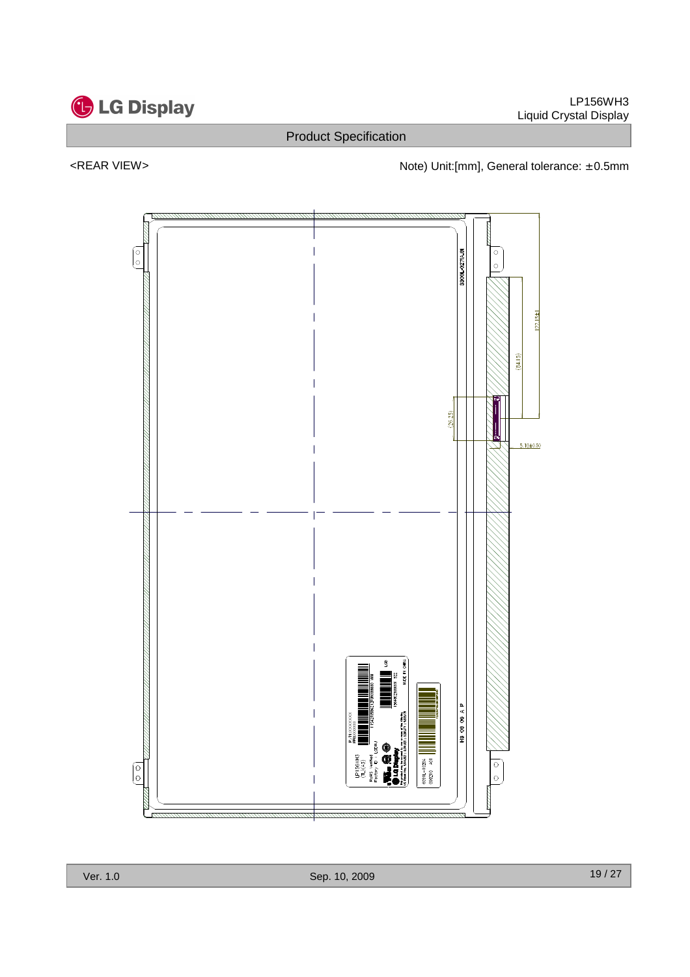

#### <REAR VIEW> <networkstate of the Note) Unit:[mm], General tolerance: ± 0.5mm

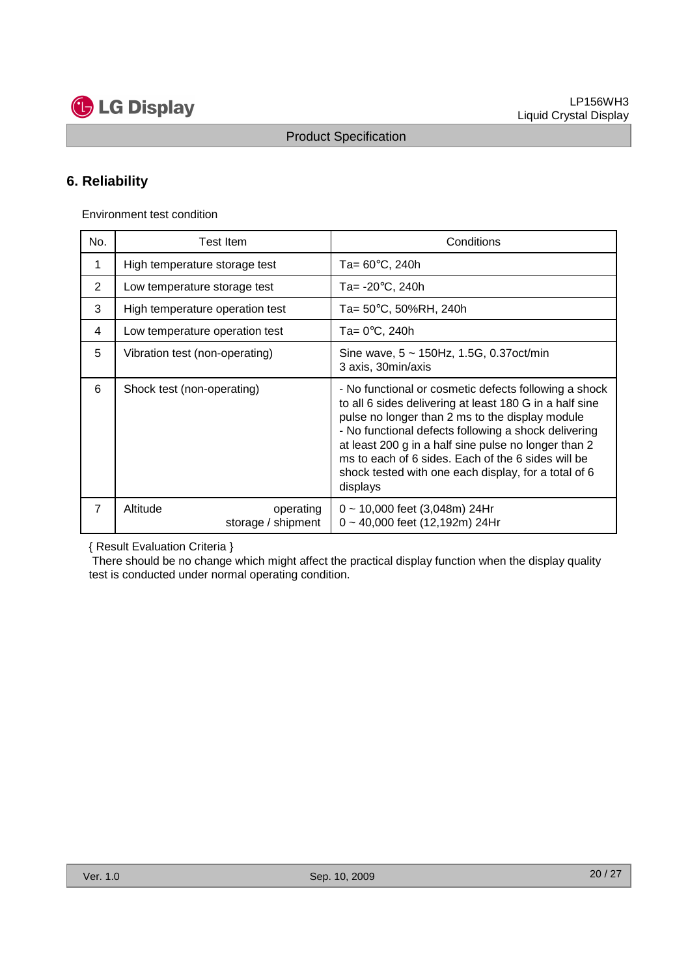

### **6. Reliability**

Environment test condition

| No.            | Test Item                                   | Conditions                                                                                                                                                                                                                                                                                                                                                                                                    |
|----------------|---------------------------------------------|---------------------------------------------------------------------------------------------------------------------------------------------------------------------------------------------------------------------------------------------------------------------------------------------------------------------------------------------------------------------------------------------------------------|
| 1              | High temperature storage test               | Ta= $60^{\circ}$ C, 240h                                                                                                                                                                                                                                                                                                                                                                                      |
| 2              | Low temperature storage test                | Ta= $-20^{\circ}$ C, 240h                                                                                                                                                                                                                                                                                                                                                                                     |
| 3              | High temperature operation test             | Ta= 50°C, 50%RH, 240h                                                                                                                                                                                                                                                                                                                                                                                         |
| 4              | Low temperature operation test              | Ta= $0^{\circ}$ C, 240h                                                                                                                                                                                                                                                                                                                                                                                       |
| 5              | Vibration test (non-operating)              | Sine wave, $5 \sim 150$ Hz, 1.5G, 0.37oct/min<br>3 axis, 30min/axis                                                                                                                                                                                                                                                                                                                                           |
| 6              | Shock test (non-operating)                  | - No functional or cosmetic defects following a shock<br>to all 6 sides delivering at least 180 G in a half sine<br>pulse no longer than 2 ms to the display module<br>- No functional defects following a shock delivering<br>at least 200 g in a half sine pulse no longer than 2<br>ms to each of 6 sides. Each of the 6 sides will be<br>shock tested with one each display, for a total of 6<br>displays |
| $\overline{7}$ | Altitude<br>operating<br>storage / shipment | $0 \sim 10,000$ feet (3,048m) 24Hr<br>$0 \sim 40,000$ feet (12,192m) 24Hr                                                                                                                                                                                                                                                                                                                                     |

{ Result Evaluation Criteria }

There should be no change which might affect the practical display function when the display quality test is conducted under normal operating condition.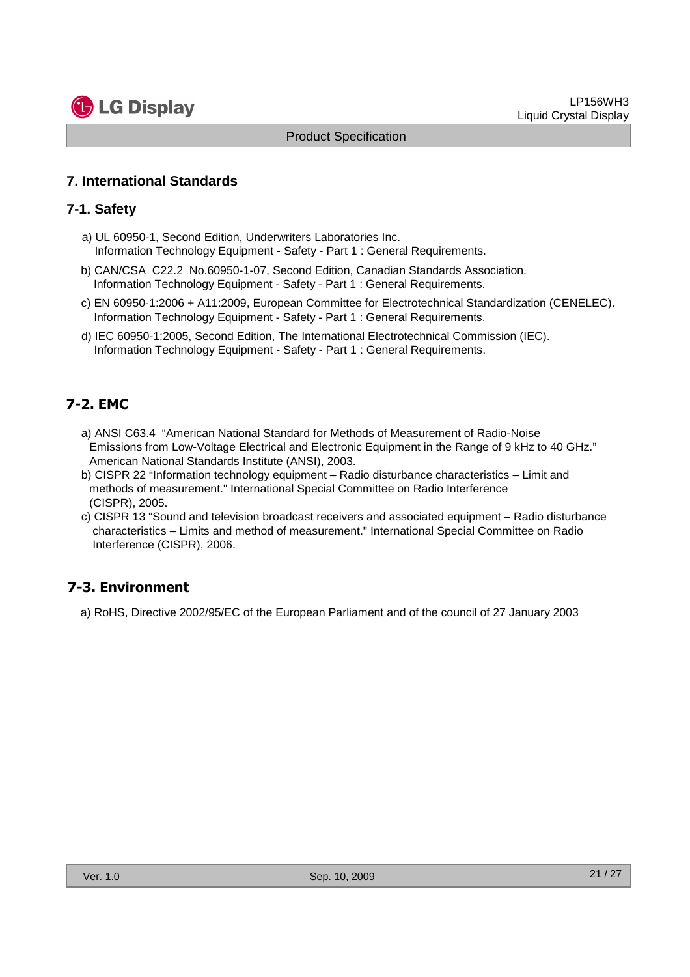

#### **7. International Standards**

#### **7-1. Safety**

- a) UL 60950-1, Second Edition, Underwriters Laboratories Inc. Information Technology Equipment - Safety - Part 1 : General Requirements.
- b) CAN/CSA C22.2 No.60950-1-07, Second Edition, Canadian Standards Association. Information Technology Equipment - Safety - Part 1 : General Requirements.
- c) EN 60950-1:2006 + A11:2009, European Committee for Electrotechnical Standardization (CENELEC). Information Technology Equipment - Safety - Part 1 : General Requirements.
- d) IEC 60950-1:2005, Second Edition, The International Electrotechnical Commission (IEC). Information Technology Equipment - Safety - Part 1 : General Requirements.

#### **7-2. EMC**

- a) ANSI C63.4 "American National Standard for Methods of Measurement of Radio-Noise Emissions from Low-Voltage Electrical and Electronic Equipment in the Range of 9 kHz to 40 GHz." American National Standards Institute (ANSI), 2003.
- b) CISPR 22 "Information technology equipment Radio disturbance characteristics Limit and methods of measurement." International Special Committee on Radio Interference (CISPR), 2005.
- c) CISPR 13 "Sound and television broadcast receivers and associated equipment Radio disturbance characteristics – Limits and method of measurement." International Special Committee on Radio Interference (CISPR), 2006.

#### **7-3. Environment**

a) RoHS, Directive 2002/95/EC of the European Parliament and of the council of 27 January 2003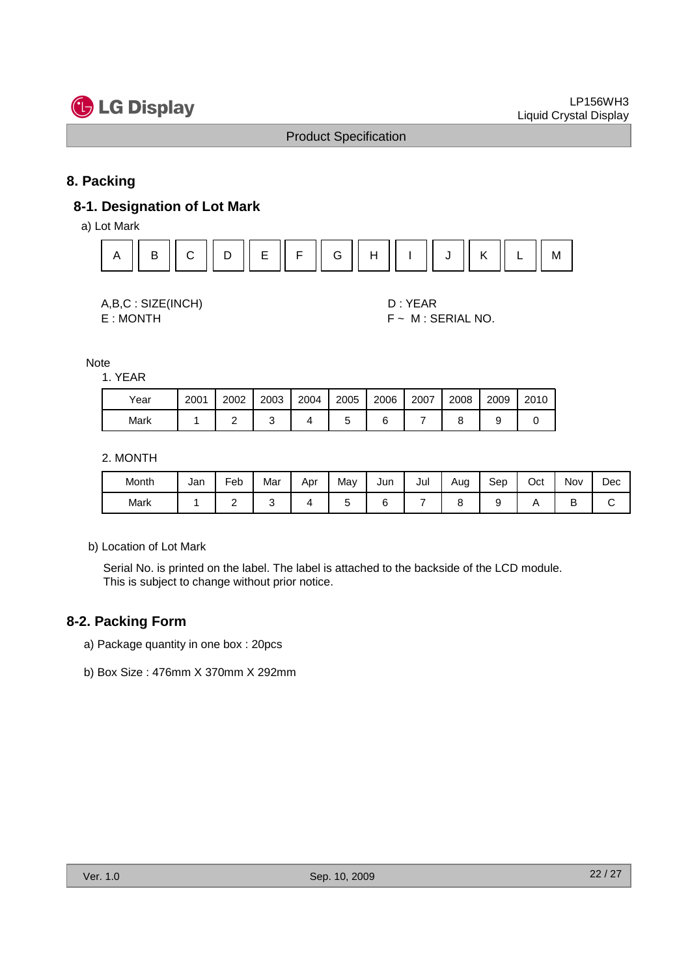

#### **8. Packing**

#### **8-1. Designation of Lot Mark**

a) Lot Mark



| A,B,C: SIZE(INCH) |
|-------------------|
| E:MONTH           |

D : YEAR  $F ~ M$  : SERIAL NO.

Note

1. YEAR

| Year | 2001 | 2002 | 2003 | 2004 | 2005 | 2006 | 2007 | 2008 | 2009 | 2010 |
|------|------|------|------|------|------|------|------|------|------|------|
| Mark |      |      |      |      |      |      |      |      |      |      |

#### 2. MONTH

| Month | Jan | Feb | Mar | Apr | Mav | Jun | Jul | Aug | Sep | Oct | Nov | Dec |
|-------|-----|-----|-----|-----|-----|-----|-----|-----|-----|-----|-----|-----|
| Mark  |     | -   |     |     |     | L   |     |     |     |     | ◡   |     |

b) Location of Lot Mark

Serial No. is printed on the label. The label is attached to the backside of the LCD module. This is subject to change without prior notice.

#### **8-2. Packing Form**

- a) Package quantity in one box : 20pcs
- b) Box Size : 476mm X 370mm X 292mm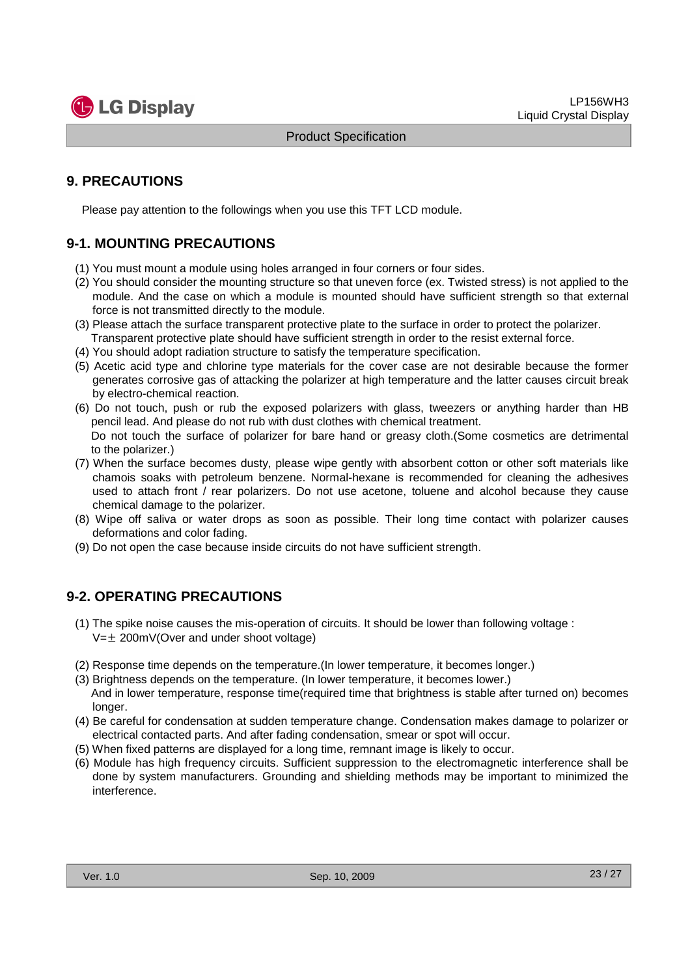

#### **9. PRECAUTIONS**

Please pay attention to the followings when you use this TFT LCD module.

#### **9-1. MOUNTING PRECAUTIONS**

- (1) You must mount a module using holes arranged in four corners or four sides.
- (2) You should consider the mounting structure so that uneven force (ex. Twisted stress) is not applied to the module. And the case on which a module is mounted should have sufficient strength so that external force is not transmitted directly to the module.
- (3) Please attach the surface transparent protective plate to the surface in order to protect the polarizer. Transparent protective plate should have sufficient strength in order to the resist external force.
- (4) You should adopt radiation structure to satisfy the temperature specification.
- (5) Acetic acid type and chlorine type materials for the cover case are not desirable because the former generates corrosive gas of attacking the polarizer at high temperature and the latter causes circuit break by electro-chemical reaction.
- (6) Do not touch, push or rub the exposed polarizers with glass, tweezers or anything harder than HB pencil lead. And please do not rub with dust clothes with chemical treatment. Do not touch the surface of polarizer for bare hand or greasy cloth.(Some cosmetics are detrimental to the polarizer.)
- (7) When the surface becomes dusty, please wipe gently with absorbent cotton or other soft materials like chamois soaks with petroleum benzene. Normal-hexane is recommended for cleaning the adhesives used to attach front / rear polarizers. Do not use acetone, toluene and alcohol because they cause chemical damage to the polarizer.
- (8) Wipe off saliva or water drops as soon as possible. Their long time contact with polarizer causes deformations and color fading.
- (9) Do not open the case because inside circuits do not have sufficient strength.

#### **9-2. OPERATING PRECAUTIONS**

- (1) The spike noise causes the mis-operation of circuits. It should be lower than following voltage :  $V=\pm 200$ mV(Over and under shoot voltage)
- (2) Response time depends on the temperature.(In lower temperature, it becomes longer.)
- (3) Brightness depends on the temperature. (In lower temperature, it becomes lower.) And in lower temperature, response time(required time that brightness is stable after turned on) becomes longer.
- (4) Be careful for condensation at sudden temperature change. Condensation makes damage to polarizer or electrical contacted parts. And after fading condensation, smear or spot will occur.
- (5) When fixed patterns are displayed for a long time, remnant image is likely to occur.
- (6) Module has high frequency circuits. Sufficient suppression to the electromagnetic interference shall be done by system manufacturers. Grounding and shielding methods may be important to minimized the interference.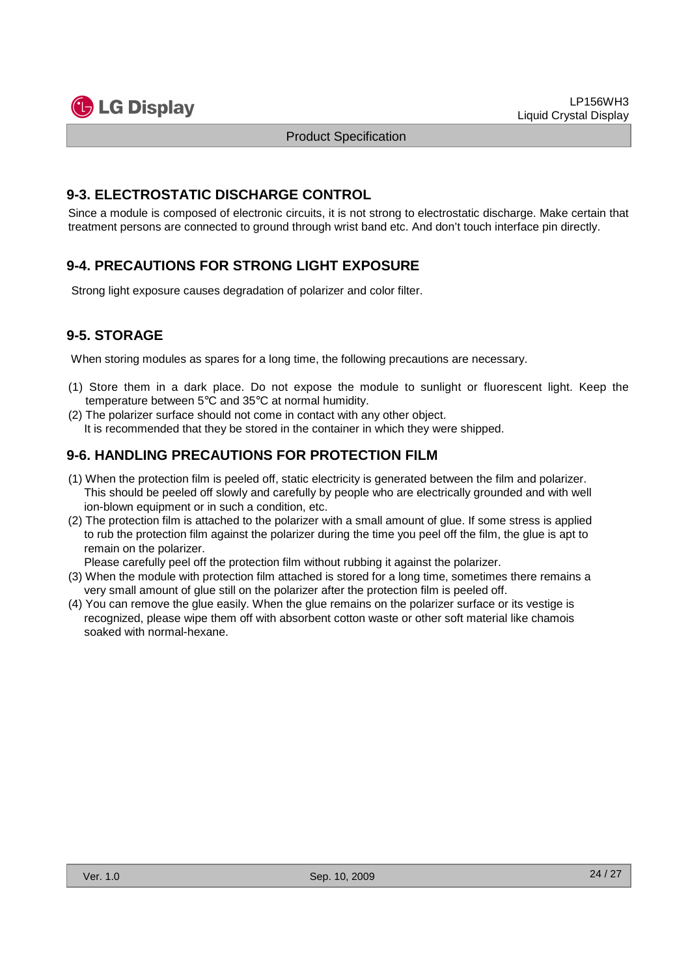

#### **9-3. ELECTROSTATIC DISCHARGE CONTROL**

Since a module is composed of electronic circuits, it is not strong to electrostatic discharge. Make certain that treatment persons are connected to ground through wrist band etc. And don't touch interface pin directly.

### **9-4. PRECAUTIONS FOR STRONG LIGHT EXPOSURE**

Strong light exposure causes degradation of polarizer and color filter.

### **9-5. STORAGE**

When storing modules as spares for a long time, the following precautions are necessary.

- (1) Store them in a dark place. Do not expose the module to sunlight or fluorescent light. Keep the temperature between 5°C and 35°C at normal humidity.
- (2) The polarizer surface should not come in contact with any other object. It is recommended that they be stored in the container in which they were shipped.

#### **9-6. HANDLING PRECAUTIONS FOR PROTECTION FILM**

- (1) When the protection film is peeled off, static electricity is generated between the film and polarizer. This should be peeled off slowly and carefully by people who are electrically grounded and with well ion-blown equipment or in such a condition, etc.
- (2) The protection film is attached to the polarizer with a small amount of glue. If some stress is applied to rub the protection film against the polarizer during the time you peel off the film, the glue is apt to remain on the polarizer.

Please carefully peel off the protection film without rubbing it against the polarizer.

- (3) When the module with protection film attached is stored for a long time, sometimes there remains a very small amount of glue still on the polarizer after the protection film is peeled off.
- (4) You can remove the glue easily. When the glue remains on the polarizer surface or its vestige is recognized, please wipe them off with absorbent cotton waste or other soft material like chamois soaked with normal-hexane.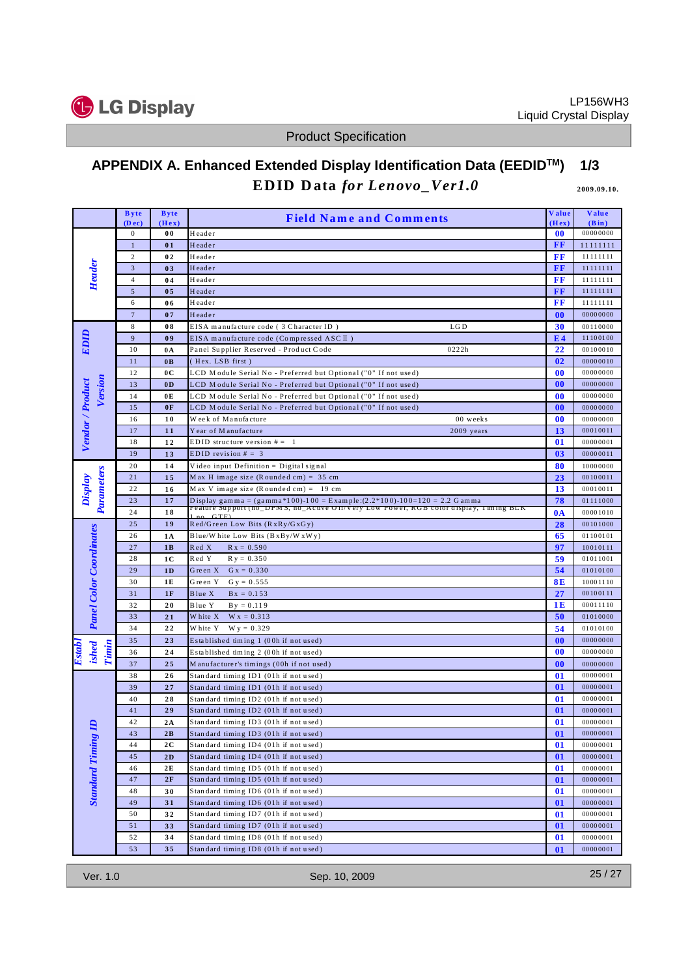

# **APPENDIX A. Enhanced Extended Display Identification Data (EEDIDTM) 1/3 EDID Data** for Lenovo\_Ver1.0 **2009.09.10.**

|                                        | <b>Byte</b>              | <b>Byte</b>    | <b>Field Name and Comments</b>                                                             | <b>Value</b>       | Value                |
|----------------------------------------|--------------------------|----------------|--------------------------------------------------------------------------------------------|--------------------|----------------------|
|                                        | (Dec)                    | (Hex)          |                                                                                            | (Hex)<br>$\bf{00}$ | (Bin)<br>00000000    |
| Header                                 | $\bf{0}$<br>$\mathbf{1}$ | 00<br>01       | Header<br>Header                                                                           | $\bf FF$           | 11111111             |
|                                        | $\sqrt{2}$               | 02             | Header                                                                                     | FF                 | 11111111             |
|                                        | $\sqrt{3}$               | 03             | Header                                                                                     | FF                 | 11111111             |
|                                        | $\overline{4}$           | 04             | Header                                                                                     | $\bf FF$           | 11111111             |
|                                        | $\sqrt{5}$               | 0 <sub>5</sub> | Header                                                                                     | $\bf FF$           | 11111111             |
|                                        | 6                        | 06             | Header                                                                                     | FF                 | 11111111             |
|                                        | $7\phantom{.0}$          | 07             | Header                                                                                     | 00                 | 00000000             |
|                                        | 8                        | 08             | LG <sub>D</sub><br>EISA manufacture code (3 Character ID)                                  | 30                 | 00110000             |
| EDID                                   | 9                        | 09             | EISA manufacture code (Compressed ASC II)                                                  | E <sub>4</sub>     | 11100100             |
|                                        | 10                       | 0A             | 0222h<br>Panel Supplier Reserved - Product Code                                            | 22                 | 00100010             |
|                                        | 11                       | 0B             | (Hex. LSB first)                                                                           | 02                 | 00000010             |
|                                        | 12                       | 0 <sup>C</sup> | LCD Module Serial No - Preferred but Optional ("0" If not used)                            | 00                 | 00000000             |
| Version                                | 13                       | 0 <sub>D</sub> | LCD Module Serial No - Preferred but Optional ("0" If not used)                            | 00                 | 00000000             |
|                                        | 14                       | 0E             | LCD Module Serial No - Preferred but Optional ("0" If not used)                            | 00                 | 00000000             |
|                                        | 15                       | 0 <sub>F</sub> | LCD Module Serial No - Preferred but Optional ("0" If not used)                            | 00                 | 00000000             |
|                                        | 16                       | 10             | 00 weeks<br>Week of Manufacture                                                            | 00                 | 00000000             |
| Vendor / Product                       | 17                       | 11             | Year of Manufacture<br>2009 years                                                          | 13                 | 00010011             |
|                                        | 18                       | 12             | EDID structure version $# = 1$                                                             | 01                 | 00000001             |
|                                        | 19                       | 13             | EDID revision $# = 3$                                                                      | 03                 | 00000011             |
|                                        | 20<br>21                 | 14<br>15       | Video input Definition = Digital signal<br>Max H image size (Rounded cm) = $35 \text{ cm}$ | 80<br>23           | 10000000<br>00100011 |
| Display                                | 22                       | 16             | Max V image size $(R$ ounded $cm) = 19$ cm                                                 | 13                 | 00010011             |
|                                        | 23                       | 17             | Display gam m a = (gamm a *100)-100 = Example: $(2.2*100)$ -100=120 = 2.2 G am ma          | 78                 | 01111000             |
| <b>Parameters</b>                      | 24                       | 18             | reature support (no_DPMS, no_Acuve OII/very Low Power, RGB color display, 1 ming BLR       | $0\text{A}$        | 00001010             |
|                                        | 25                       | 19             | Red/Green Low Bits (RxRy/GxGy)                                                             | 28                 | 00101000             |
|                                        | 26                       | 1A             | Blue/White Low Bits (BxBy/WxWy)                                                            | 65                 | 01100101             |
|                                        | 27                       | 1B             | Red X<br>$R x = 0.590$                                                                     | 97                 | 10010111             |
|                                        | 28                       | 1 <sub>C</sub> | Red Y<br>$R y = 0.350$                                                                     | 59                 | 01011001             |
| <b>Panel Color Coordinates</b>         | 29                       | 1D             | Green X<br>$G x = 0.330$                                                                   | 54                 | 01010100             |
|                                        | 30                       | 1E             | Green Y<br>$G y = 0.555$                                                                   | 8E                 | 10001110             |
|                                        | 31                       | 1F             | Blue X<br>$Bx = 0.153$                                                                     | 27                 | 00100111             |
|                                        | 32                       | 20             | Blue Y<br>$By = 0.119$                                                                     | 1E                 | 00011110             |
|                                        | 33                       | 21             | W hite X<br>$W x = 0.313$                                                                  | 50                 | 01010000             |
|                                        | 34                       | 22             | W hite Y<br>$W y = 0.329$                                                                  | 54                 | 01010100             |
|                                        | 35                       | 23             | Established timing 1 (00h if not used)                                                     | 00                 | 00000000             |
| Timin<br>Establ<br>ished               | 36                       | 24             | Established timing 2 (00h if not used)                                                     | 00                 | 00000000             |
|                                        | 37                       | 25             | Manufacturer's timings (00h if not used)                                                   | 00                 | 00000000             |
|                                        | 38                       | 26             | Standard timing ID1 (01h if not used)                                                      | 01                 | 00000001             |
|                                        | 39                       | 27             | Standard timing ID1 (01h if not used)                                                      | 01                 | 00000001             |
|                                        | 40                       | 28             | Standard timing ID2 (01h if not used)                                                      | 01                 | 00000001             |
|                                        | 41                       | 29             | Standard timing ID2 (01h if not used)                                                      | $\bf{01}$          | 00000001             |
| $\mathbf{a}$<br><b>Standard Timing</b> | 42                       | 2A             | Standard timing ID3 (01h if not used)                                                      | 01                 | 00000001             |
|                                        | 43<br>44                 | 2B<br>2C       | Standard timing ID3 (01h if not used)<br>Standard timing ID4 (01h if not used)             | 01<br>01           | 00000001<br>00000001 |
|                                        | 45                       | 2D             | Standard timing ID4 (01h if not used)                                                      | <b>01</b>          | 00000001             |
|                                        | 46                       | 2E             | Standard timing ID5 (01h if not used)                                                      | 01                 | 00000001             |
|                                        | 47                       | 2F             | Standard timing ID5 (01h if not used)                                                      | 01                 | 00000001             |
|                                        | 48                       | 30             | Standard timing ID6 (01h if not used)                                                      | 01                 | 00000001             |
|                                        | 49                       | 31             | Standard timing ID6 (01h if not used)                                                      | 01                 | 00000001             |
|                                        | 50                       | 32             | Standard timing ID7 (01h if not used)                                                      | 01                 | 00000001             |
|                                        | 51                       | 33             | Standard timing ID7 (01h if not used)                                                      | 01                 | 00000001             |
|                                        | 52                       | 34             | Standard timing ID8 (01h if not used)                                                      | 01                 | 00000001             |
|                                        | 53                       | 35             | Standard timing ID8 (01h if not used)                                                      | 01                 | 00000001             |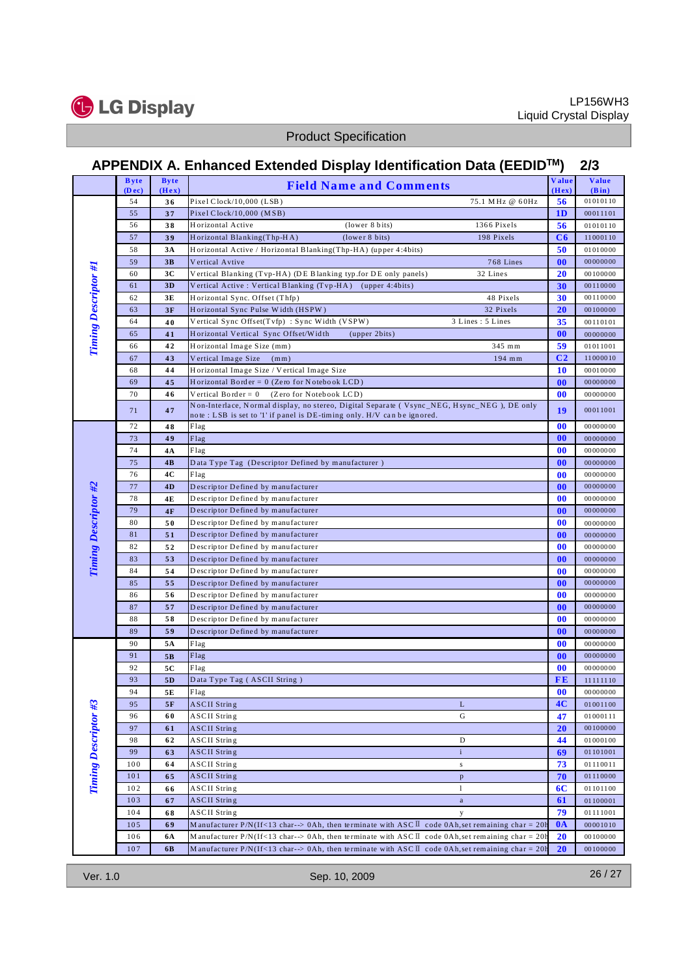

# **APPENDIX A. Enhanced Extended Display Identification Data (EEDIDTM) 2/3**

|                             | <b>Byte</b><br>(Dec) | <b>Byte</b><br>(Hex) | <b>Field Name and Comments</b>                                                                                                                                        | Value<br>(Hex) | <b>Value</b><br>(Bin) |
|-----------------------------|----------------------|----------------------|-----------------------------------------------------------------------------------------------------------------------------------------------------------------------|----------------|-----------------------|
|                             | 54                   | 36                   | Pixel Clock/10,000 (LSB)<br>75.1 MHz @ 60Hz                                                                                                                           | 56             | 01010110              |
|                             | 55                   | 37                   | Pixel Clock/10,000 (MSB)                                                                                                                                              | 1 <sub>D</sub> | 00011101              |
|                             | 56                   | 38                   | Horizontal Active<br>(lower 8 bits)<br>1366 Pixels                                                                                                                    | 56             | 01010110              |
|                             | 57                   | 39                   | Horizontal Blanking(Thp-HA)<br>(lower 8 bits)<br>198 Pixels                                                                                                           | C6             | 11000110              |
|                             | 58                   | 3A                   | Horizontal Active / Horizontal Blanking(Thp-HA) (upper 4:4bits)                                                                                                       | 50             | 01010000              |
|                             | 59                   | 3B                   | 768 Lines<br>Vertical Avtive                                                                                                                                          | 00             | 00000000              |
|                             | 60                   | 3C                   | 32 Lines<br>Vertical Blanking (Tvp-HA) (DE Blanking typ.for DE only panels)                                                                                           | 20             | 00100000              |
| <b>Timing Descriptor #1</b> | 61                   | 3D                   | Vertical Active: Vertical Blanking (Tvp-HA) (upper 4:4bits)                                                                                                           | 30             | 00110000              |
|                             | 62                   | 3E                   | 48 Pixels<br>Horizontal Sync. Offset (Thfp)                                                                                                                           | 30             | 00110000              |
|                             | 63                   | 3F                   | Horizontal Sync Pulse Width (HSPW)<br>32 Pixels                                                                                                                       | 20             | 00100000              |
|                             | 64                   | 40                   | Vertical Sync Offset(Tvfp): Sync Width (VSPW)<br>3 Lines: 5 Lines                                                                                                     | 35             | 00110101              |
|                             | 65                   | 41                   | Horizontal Vertical Sync Offset/Width<br>(upper 2bits)                                                                                                                | 00             | 00000000              |
|                             | 66                   | 42                   | Horizontal Image Size (mm)<br>345 mm                                                                                                                                  | 59             | 01011001              |
|                             | 67                   | 43                   | Vertical Image Size<br>194 mm<br>(mm)                                                                                                                                 | C <sub>2</sub> | 11000010              |
|                             | 68                   | 44                   | Horizontal Image Size / Vertical Image Size                                                                                                                           | 10             | 00010000              |
|                             | 69                   | 45                   | Horizontal Border = $0$ (Zero for Notebook LCD)                                                                                                                       | 00             | 00000000              |
|                             | 70                   | 46                   | Vertical Border = $0$<br>(Zero for Notebook LCD)                                                                                                                      | 00             | 00000000              |
|                             | 71                   | 47                   | Non-Interlace, Normal display, no stereo, Digital Separate (Vsync_NEG, Hsync_NEG), DE only<br>note: LSB is set to 'l' if panel is DE-timing only. H/V can be ignored. | 19             | 00011001              |
|                             | 72                   | 48                   | Flag                                                                                                                                                                  | 00             | 00000000              |
|                             | 73                   | 49                   | Flag                                                                                                                                                                  | 00             | 00000000              |
|                             | 74                   | 4A                   | Flag                                                                                                                                                                  | 00             | 00000000              |
|                             | 75                   | 4B                   | Data Type Tag (Descriptor Defined by manufacturer)                                                                                                                    | 00             | 00000000              |
|                             | 76                   | 4C                   | Flag                                                                                                                                                                  | 00             | 00000000              |
|                             | 77                   | 4D                   | Descriptor Defined by manufacturer                                                                                                                                    | 00             | 00000000              |
|                             | 78                   | 4E                   | Descriptor Defined by manufacturer                                                                                                                                    | 00             | 00000000              |
|                             | 79                   | 4F                   | Descriptor Defined by manufacturer                                                                                                                                    | 00             | 00000000              |
|                             | 80                   | 50                   | Descriptor Defined by manufacturer                                                                                                                                    | 00             | 00000000              |
|                             | 81                   | 51                   | Descriptor Defined by manufacturer                                                                                                                                    | 00             | 00000000              |
|                             | 82                   | 52                   | Descriptor Defined by manufacturer                                                                                                                                    | 00             | 00000000              |
| <b>Timing Descriptor #2</b> | 83                   | 53                   | Descriptor Defined by manufacturer                                                                                                                                    | 00             | 00000000              |
|                             | 84                   | 54                   | Descriptor Defined by manufacturer                                                                                                                                    | 00             | 00000000              |
|                             | 85                   | 55                   | Descriptor Defined by manufacturer                                                                                                                                    | 00             | 00000000              |
|                             | 86                   | 56                   | Descriptor Defined by manufacturer                                                                                                                                    | 00             | 00000000              |
|                             | 87                   | 57                   | Descriptor Defined by manufacturer                                                                                                                                    | 00             | 00000000              |
|                             | 88                   | 58                   | Descriptor Defined by manufacturer                                                                                                                                    | 00             | 00000000              |
|                             | 89                   | 59                   | Descriptor Defined by manufacturer                                                                                                                                    | 00             | 00000000              |
|                             | 90                   | 5A                   | Flag                                                                                                                                                                  | 00             | 00000000              |
|                             | 91                   | 5B                   | Flag                                                                                                                                                                  | 00             | 00000000              |
|                             | 92<br>93             | 5C                   | Flag<br>Data Type Tag (ASCII String)                                                                                                                                  | 00<br>FE       | 00000000              |
| Timing Descriptor #3        | 94                   | 5 <sub>D</sub><br>5E | Flag                                                                                                                                                                  | 00             | 11111110<br>00000000  |
|                             | 95                   | 5F                   | <b>ASCII String</b><br>L                                                                                                                                              | 4C             | 01001100              |
|                             | 96                   | 60                   | <b>ASCII</b> String<br>G                                                                                                                                              | 47             | 01000111              |
|                             | 97                   | 61                   | <b>ASCII String</b>                                                                                                                                                   | 20             | 00100000              |
|                             | 98                   | 62                   | ASCII String<br>D                                                                                                                                                     | 44             | 01000100              |
|                             | 99                   | 63                   | <b>ASCII String</b><br>$\mathbf{i}$                                                                                                                                   | 69             | 01101001              |
|                             | 100                  | 64                   | ASCII String<br>${\bf S}$                                                                                                                                             | 73             | 01110011              |
|                             | 101                  | 65                   | <b>ASCII String</b><br>$\mathbf{p}$                                                                                                                                   | 70             | 01110000              |
|                             | 102                  | 66                   | ASCII String<br>1                                                                                                                                                     | 6C             | 01101100              |
|                             | 103                  | 67                   | <b>ASCII String</b><br>$\mathbf{a}$                                                                                                                                   | 61             | 01100001              |
|                             | 104                  | 68                   | <b>ASCII</b> String<br>у                                                                                                                                              | 79             | 01111001              |
|                             | 105                  | 69                   | Manufacturer P/N(If<13 char--> 0Ah, then terminate with ASC $\bar{I}$ code 0Ah, set remaining char = 20h                                                              | $0\text{A}$    | 00001010              |
|                             | 106                  | 6A                   | Manufacturer P/N(If<13 char--> 0Ah, then terminate with ASC $\mathbb{I}$ code 0Ah, set remaining char = 20h                                                           | 20             | 00100000              |
|                             | 107                  | 6B                   | Manufacturer P/N(If<13 char--> 0Ah, then terminate with ASC $\mathbb I$ code 0Ah, set remaining char = 20h                                                            | 20             | 00100000              |